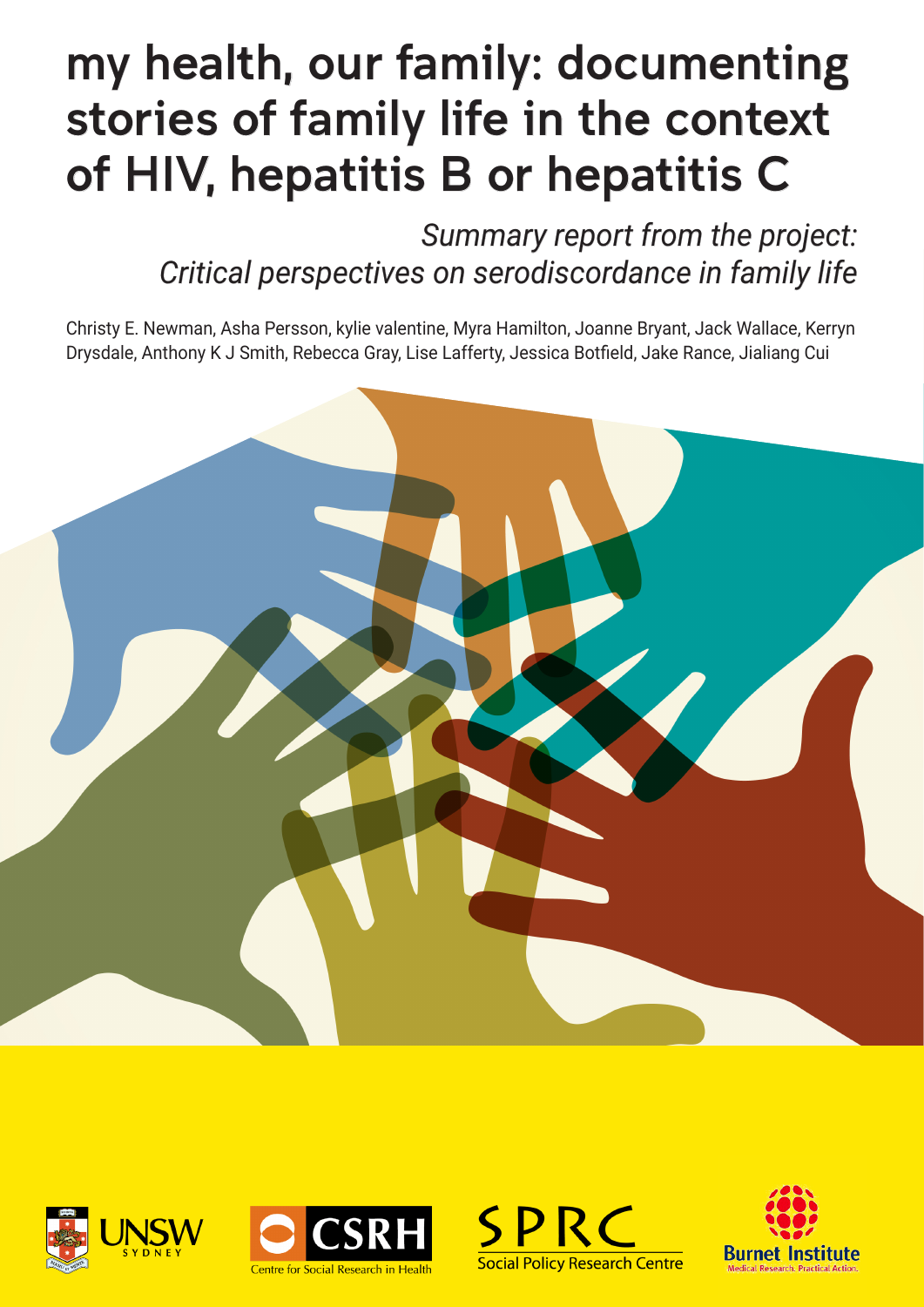# <span id="page-0-0"></span>my health, our family: documenting stories of family life in the context of HIV, hepatitis B or hepatitis C

*Summary report from the project: Critical perspectives on serodiscordance in family life*

Christy E. Newman, Asha Persson, kylie valentine, Myra Hamilton, Joanne Bryant, Jack Wallace, Kerryn Drysdale, Anthony K J Smith, Rebecca Gray, Lise Lafferty, Jessica Botfield, Jake Rance, Jialiang Cui









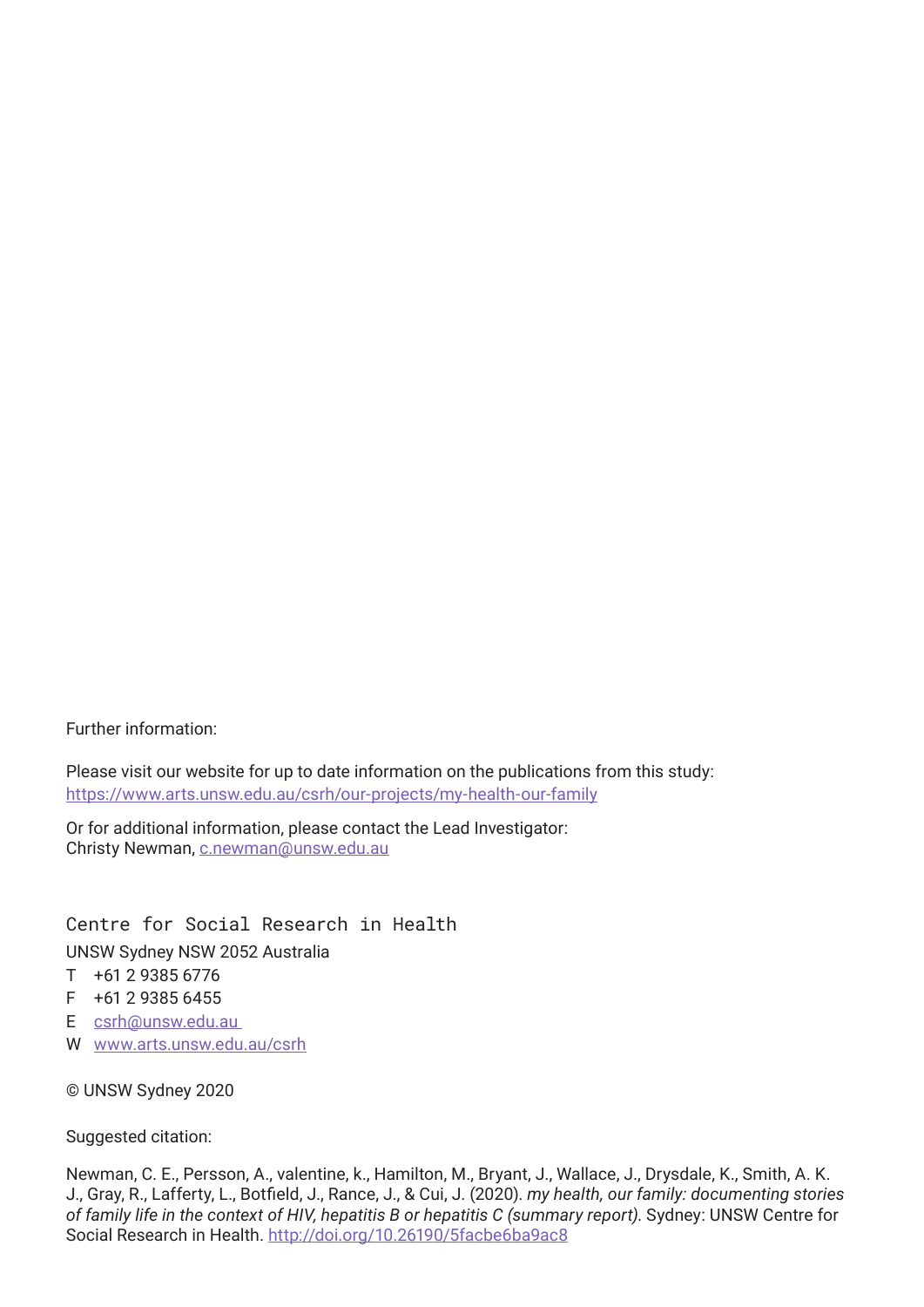Further information:

Please visit our website for up to date information on the publications from this study: [https://www.arts.unsw.edu.au/csrh/our-projects/my-health-our-family](https://www.arts.unsw.edu.au/csrh/our-projects/my-health-our-family )

Or for additional information, please contact the Lead Investigator: Christy Newman, [c.newman@unsw.edu.au](mailto:c.newman%40unsw.edu.au?subject=)

Centre for Social Research in Health UNSW Sydney NSW 2052 Australia

- T +61 2 9385 6776
- $F + 61$  2 9385 6455
- E [csrh@unsw.edu.au](mailto:csrh%40unsw.edu.au%20?subject=)
- W [www.arts.unsw.edu.au/csrh](http://www.arts.unsw.edu.au/csrh)

© UNSW Sydney 2020

#### Suggested citation:

Newman, C. E., Persson, A., valentine, k., Hamilton, M., Bryant, J., Wallace, J., Drysdale, K., Smith, A. K. J., Gray, R., Lafferty, L., Botfield, J., Rance, J., & Cui, J. (2020). *my health, our family: documenting stories of family life in the context of HIV, hepatitis B or hepatitis C (summary report)*. Sydney: UNSW Centre for Social Research in Health. <http://doi.org/10.26190/5facbe6ba9ac8>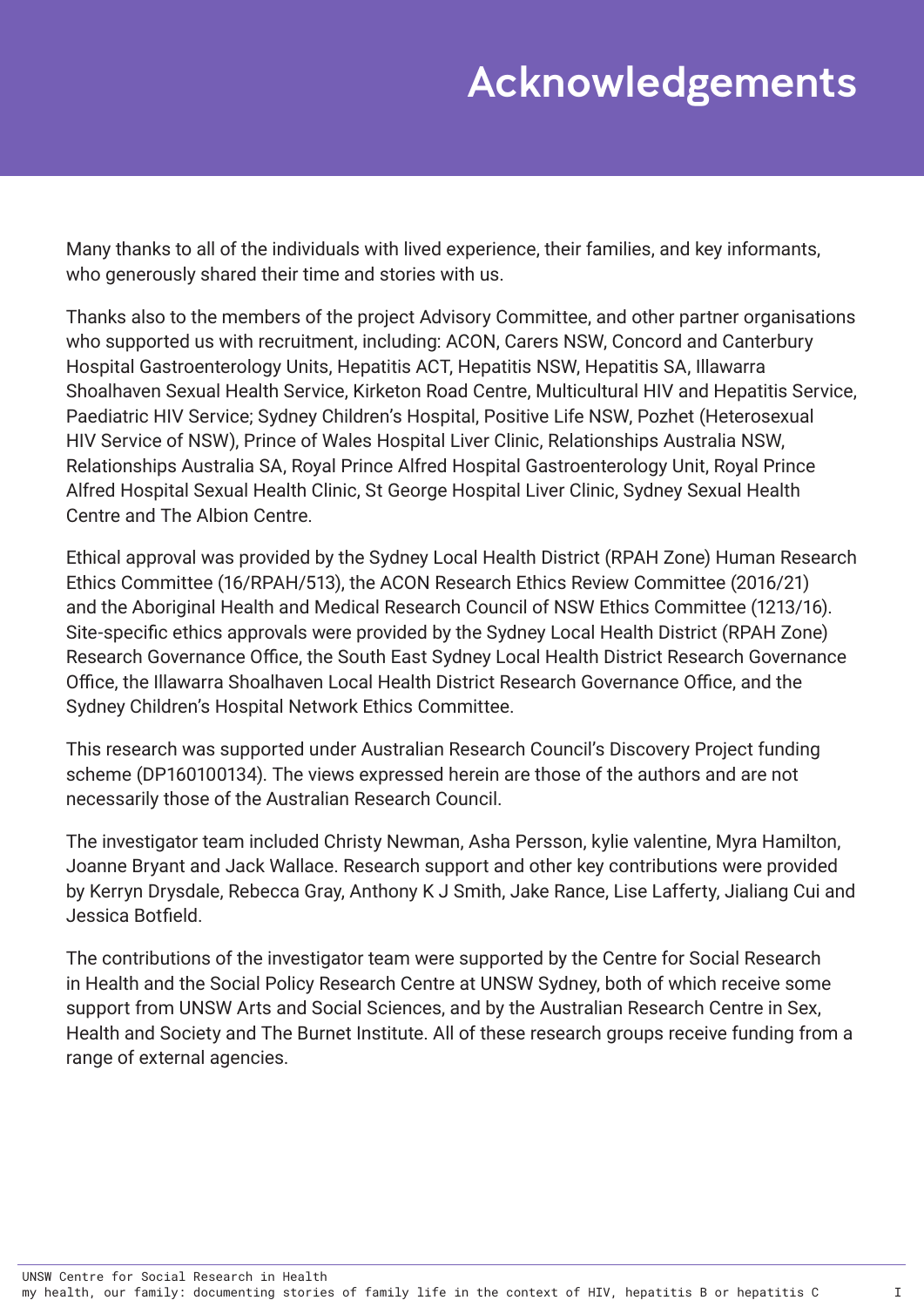## Acknowledgements

Many thanks to all of the individuals with lived experience, their families, and key informants, who generously shared their time and stories with us.

Thanks also to the members of the project Advisory Committee, and other partner organisations who supported us with recruitment, including: ACON, Carers NSW, Concord and Canterbury Hospital Gastroenterology Units, Hepatitis ACT, Hepatitis NSW, Hepatitis SA, Illawarra Shoalhaven Sexual Health Service, Kirketon Road Centre, Multicultural HIV and Hepatitis Service, Paediatric HIV Service; Sydney Children's Hospital, Positive Life NSW, Pozhet (Heterosexual HIV Service of NSW), Prince of Wales Hospital Liver Clinic, Relationships Australia NSW, Relationships Australia SA, Royal Prince Alfred Hospital Gastroenterology Unit, Royal Prince Alfred Hospital Sexual Health Clinic, St George Hospital Liver Clinic, Sydney Sexual Health Centre and The Albion Centre.

Ethical approval was provided by the Sydney Local Health District (RPAH Zone) Human Research Ethics Committee (16/RPAH/513), the ACON Research Ethics Review Committee (2016/21) and the Aboriginal Health and Medical Research Council of NSW Ethics Committee (1213/16). Site-specific ethics approvals were provided by the Sydney Local Health District (RPAH Zone) Research Governance Office, the South East Sydney Local Health District Research Governance Office, the Illawarra Shoalhaven Local Health District Research Governance Office, and the Sydney Children's Hospital Network Ethics Committee.

This research was supported under Australian Research Council's Discovery Project funding scheme (DP160100134). The views expressed herein are those of the authors and are not necessarily those of the Australian Research Council.

The investigator team included Christy Newman, Asha Persson, kylie valentine, Myra Hamilton, Joanne Bryant and Jack Wallace. Research support and other key contributions were provided by Kerryn Drysdale, Rebecca Gray, Anthony K J Smith, Jake Rance, Lise Lafferty, Jialiang Cui and Jessica Botfield.

The contributions of the investigator team were supported by the Centre for Social Research in Health and the Social Policy Research Centre at UNSW Sydney, both of which receive some support from UNSW Arts and Social Sciences, and by the Australian Research Centre in Sex, Health and Society and The Burnet Institute. All of these research groups receive funding from a range of external agencies.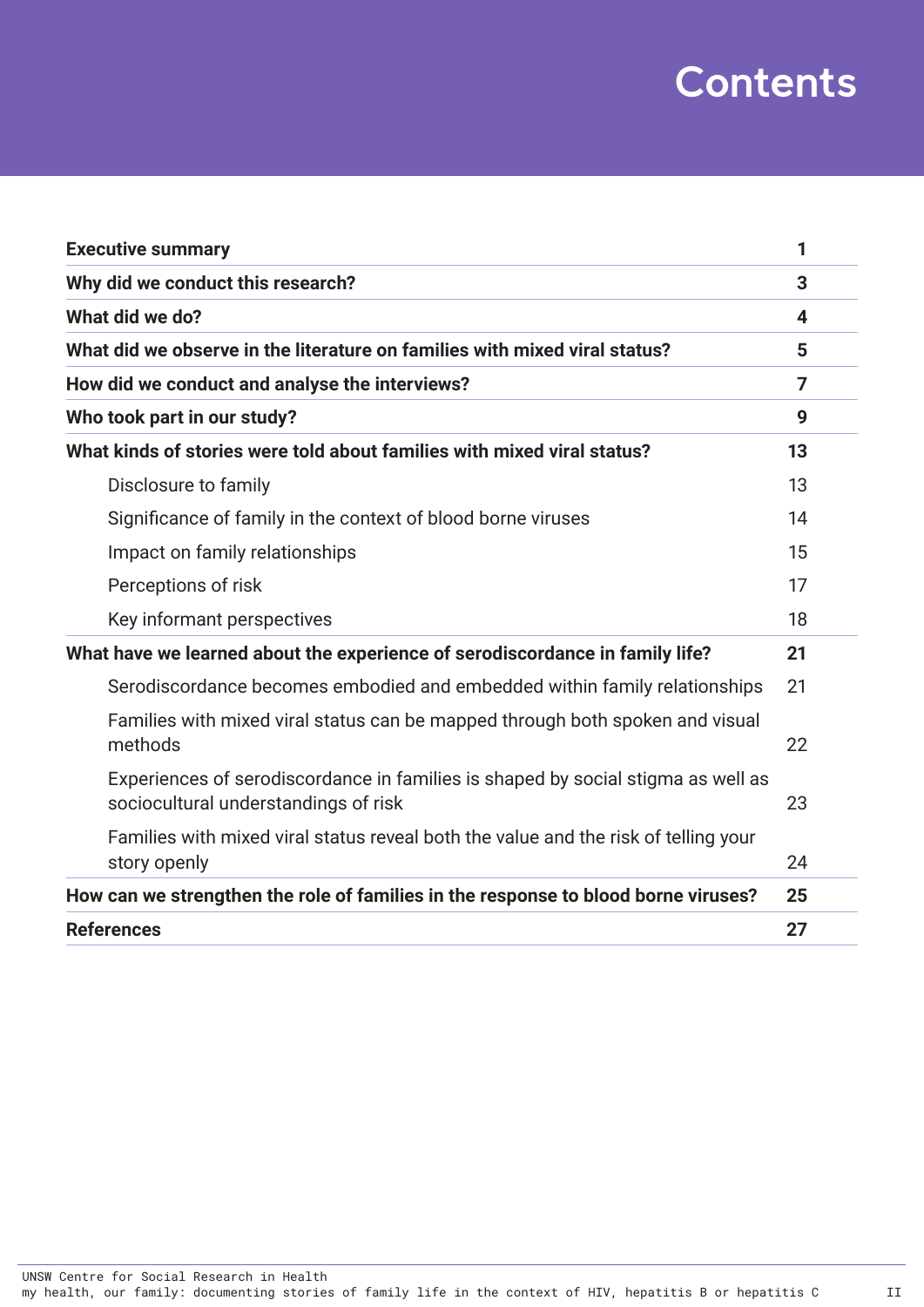## **Contents**

| <b>Executive summary</b>                                                                                                 | 1  |
|--------------------------------------------------------------------------------------------------------------------------|----|
| Why did we conduct this research?                                                                                        | 3  |
| What did we do?                                                                                                          | 4  |
| What did we observe in the literature on families with mixed viral status?                                               | 5  |
| How did we conduct and analyse the interviews?                                                                           | 7  |
| Who took part in our study?                                                                                              | 9  |
| What kinds of stories were told about families with mixed viral status?                                                  | 13 |
| Disclosure to family                                                                                                     | 13 |
| Significance of family in the context of blood borne viruses                                                             | 14 |
| Impact on family relationships                                                                                           | 15 |
| Perceptions of risk                                                                                                      | 17 |
| Key informant perspectives                                                                                               | 18 |
| What have we learned about the experience of serodiscordance in family life?                                             | 21 |
| Serodiscordance becomes embodied and embedded within family relationships                                                | 21 |
| Families with mixed viral status can be mapped through both spoken and visual<br>methods                                 | 22 |
| Experiences of serodiscordance in families is shaped by social stigma as well as<br>sociocultural understandings of risk | 23 |
| Families with mixed viral status reveal both the value and the risk of telling your<br>story openly                      | 24 |
| How can we strengthen the role of families in the response to blood borne viruses?                                       | 25 |
| <b>References</b>                                                                                                        | 27 |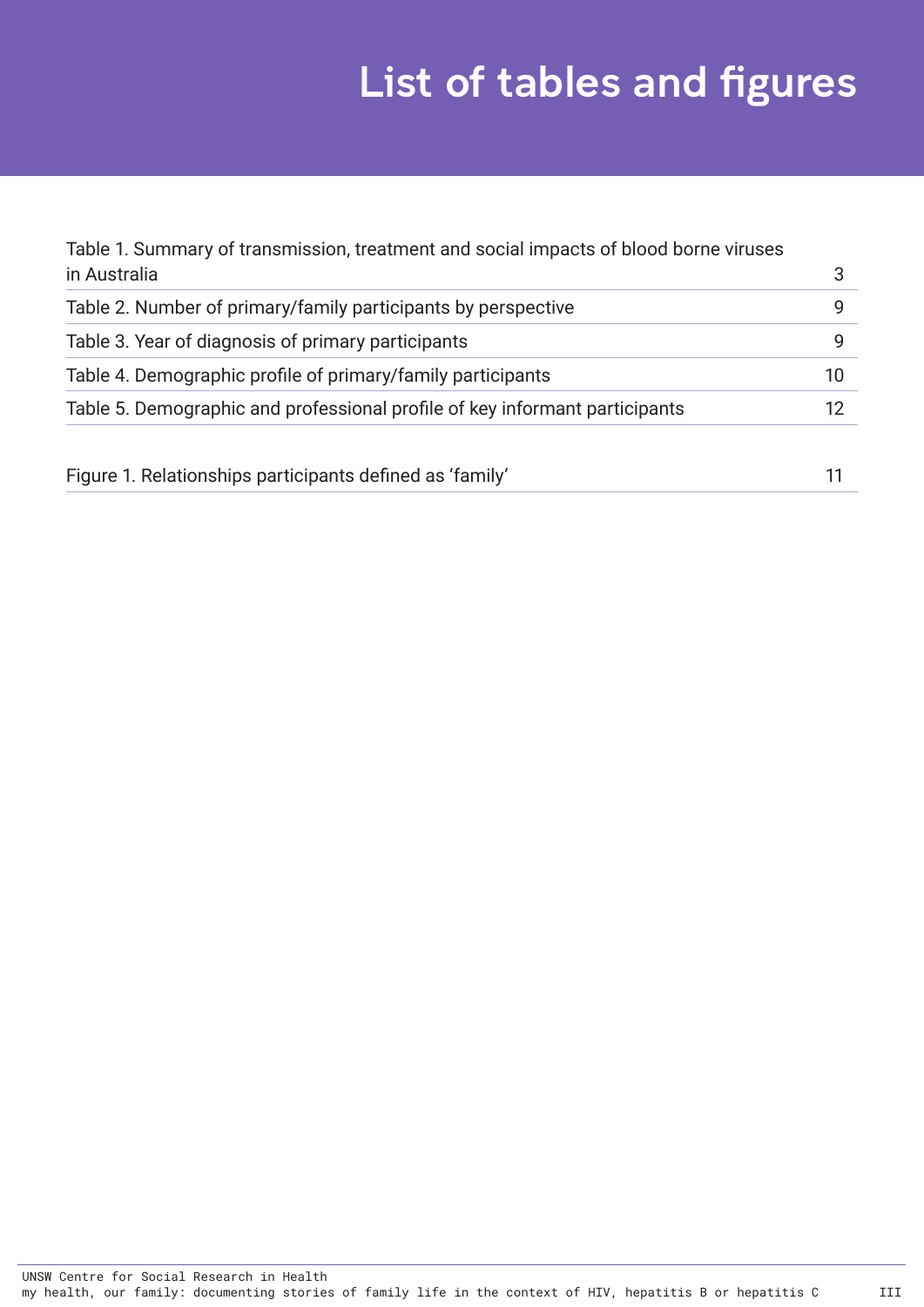# List of tables and figures

| Table 1. Summary of transmission, treatment and social impacts of blood borne viruses |    |
|---------------------------------------------------------------------------------------|----|
| in Australia                                                                          | 3  |
| Table 2. Number of primary/family participants by perspective                         | q  |
| Table 3. Year of diagnosis of primary participants                                    | g  |
| Table 4. Demographic profile of primary/family participants                           | 10 |
| Table 5. Demographic and professional profile of key informant participants           | 12 |
| Figure 1. Relationships participants defined as 'family'                              |    |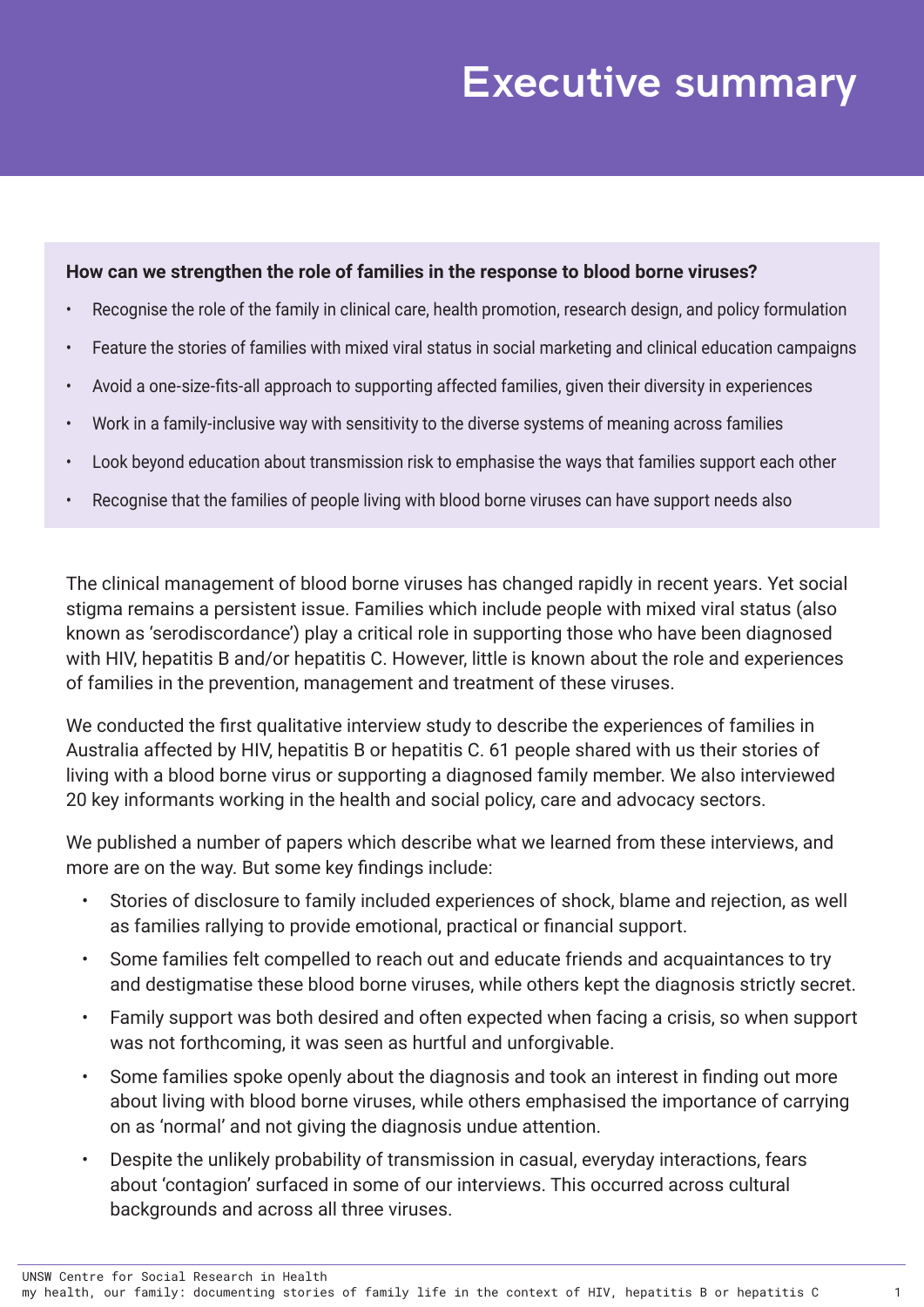## Executive summary

#### **How can we strengthen the role of families in the response to blood borne viruses?**

- Recognise the role of the family in clinical care, health promotion, research design, and policy formulation
- Feature the stories of families with mixed viral status in social marketing and clinical education campaigns
- Avoid a one-size-fits-all approach to supporting affected families, given their diversity in experiences
- Work in a family-inclusive way with sensitivity to the diverse systems of meaning across families
- Look beyond education about transmission risk to emphasise the ways that families support each other
- Recognise that the families of people living with blood borne viruses can have support needs also

The clinical management of blood borne viruses has changed rapidly in recent years. Yet social stigma remains a persistent issue. Families which include people with mixed viral status (also known as 'serodiscordance') play a critical role in supporting those who have been diagnosed with HIV, hepatitis B and/or hepatitis C. However, little is known about the role and experiences of families in the prevention, management and treatment of these viruses.

We conducted the first qualitative interview study to describe the experiences of families in Australia affected by HIV, hepatitis B or hepatitis C. 61 people shared with us their stories of living with a blood borne virus or supporting a diagnosed family member. We also interviewed 20 key informants working in the health and social policy, care and advocacy sectors.

We published a number of papers which describe what we learned from these interviews, and more are on the way. But some key findings include:

- Stories of disclosure to family included experiences of shock, blame and rejection, as well as families rallying to provide emotional, practical or financial support.
- Some families felt compelled to reach out and educate friends and acquaintances to try and destigmatise these blood borne viruses, while others kept the diagnosis strictly secret.
- Family support was both desired and often expected when facing a crisis, so when support was not forthcoming, it was seen as hurtful and unforgivable.
- Some families spoke openly about the diagnosis and took an interest in finding out more about living with blood borne viruses, while others emphasised the importance of carrying on as 'normal' and not giving the diagnosis undue attention.
- Despite the unlikely probability of transmission in casual, everyday interactions, fears about 'contagion' surfaced in some of our interviews. This occurred across cultural backgrounds and across all three viruses.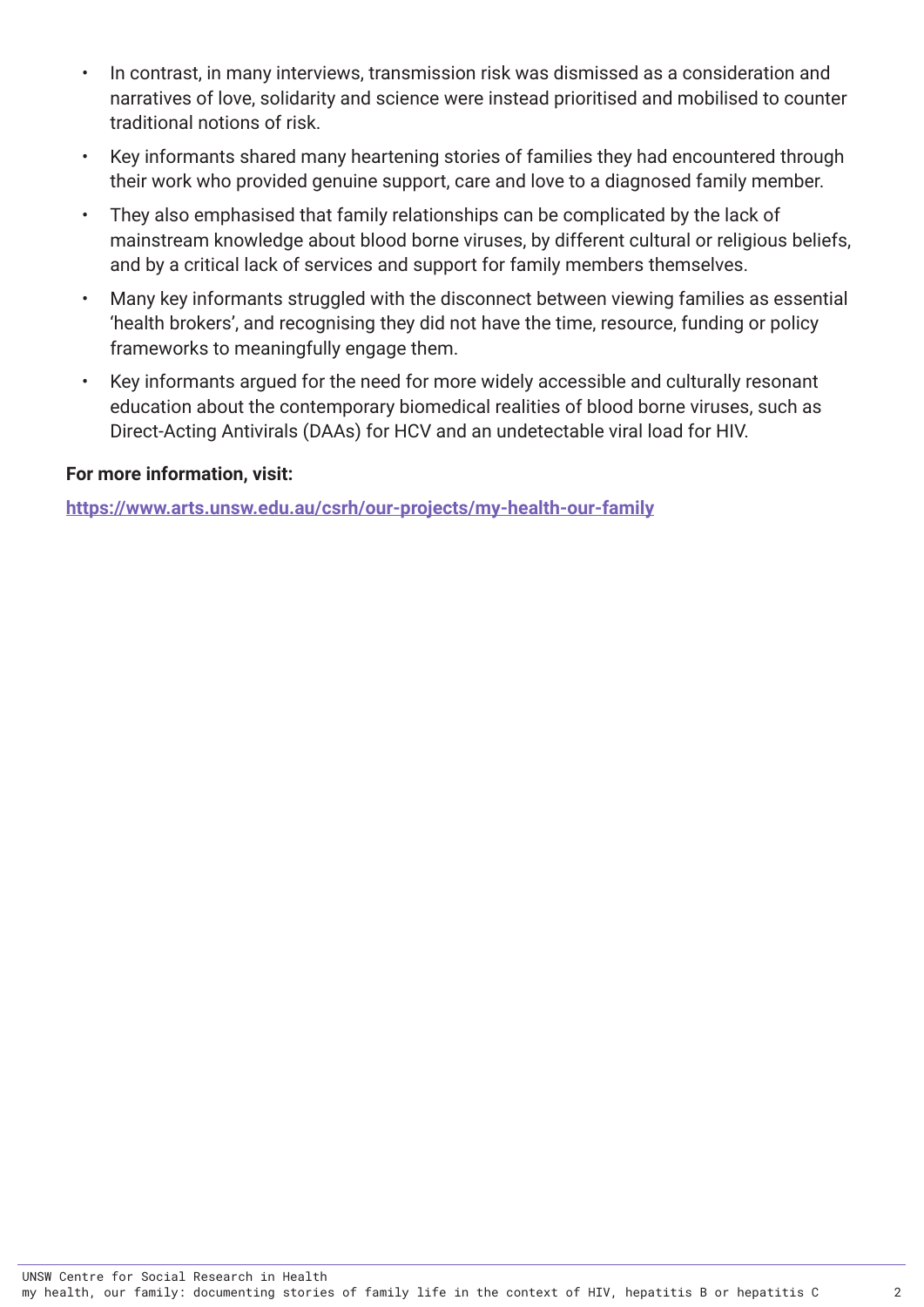- In contrast, in many interviews, transmission risk was dismissed as a consideration and narratives of love, solidarity and science were instead prioritised and mobilised to counter traditional notions of risk.
- Key informants shared many heartening stories of families they had encountered through their work who provided genuine support, care and love to a diagnosed family member.
- They also emphasised that family relationships can be complicated by the lack of mainstream knowledge about blood borne viruses, by different cultural or religious beliefs, and by a critical lack of services and support for family members themselves.
- Many key informants struggled with the disconnect between viewing families as essential 'health brokers', and recognising they did not have the time, resource, funding or policy frameworks to meaningfully engage them.
- Key informants argued for the need for more widely accessible and culturally resonant education about the contemporary biomedical realities of blood borne viruses, such as Direct-Acting Antivirals (DAAs) for HCV and an undetectable viral load for HIV.

#### **For more information, visit:**

**<https://www.arts.unsw.edu.au/csrh/our-projects/my-health-our-family>**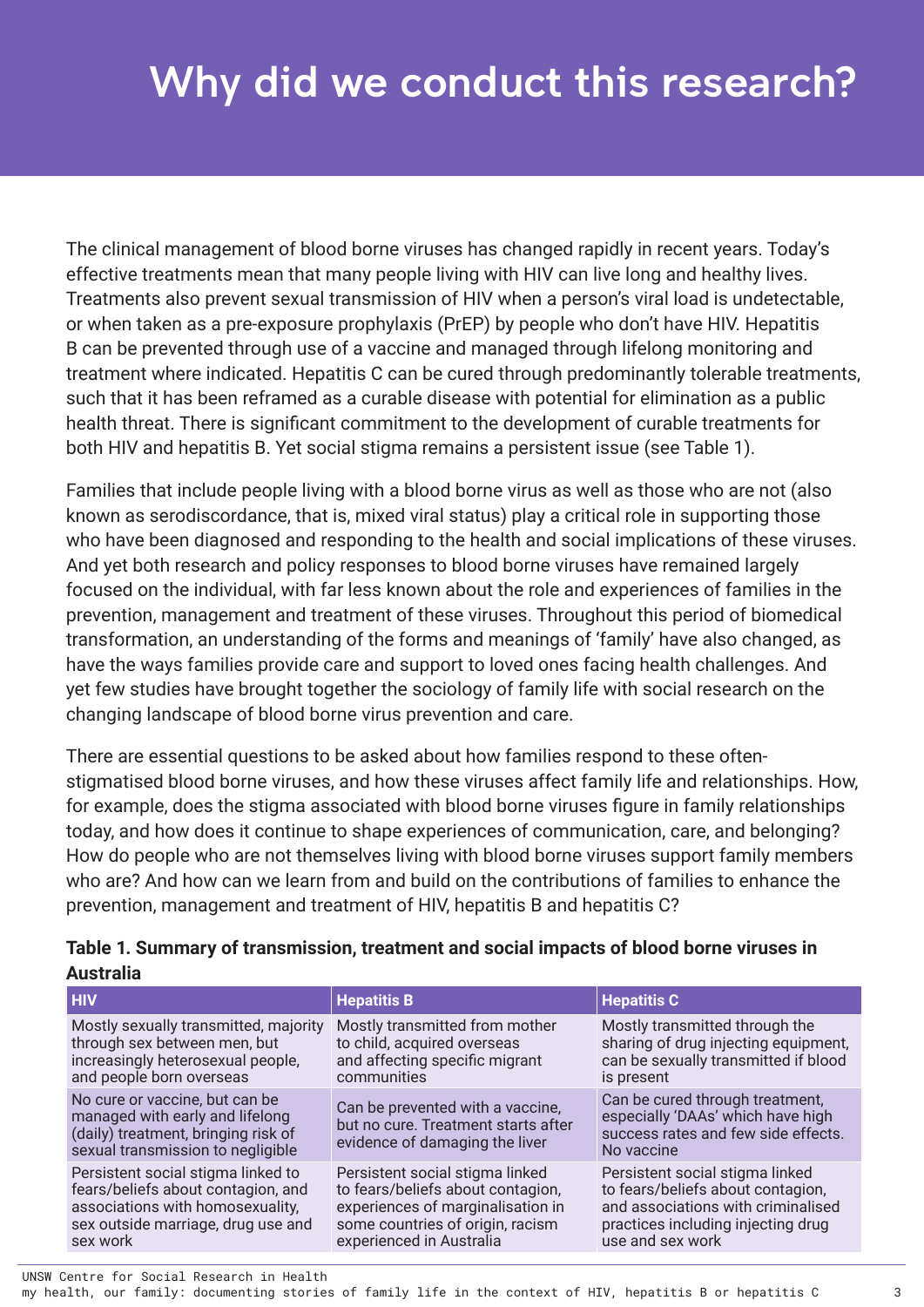# <span id="page-7-0"></span>Why did we conduct this research?

The clinical management of blood borne viruses has changed rapidly in recent years. Today's effective treatments mean that many people living with HIV can live long and healthy lives. Treatments also prevent sexual transmission of HIV when a person's viral load is undetectable, or when taken as a pre-exposure prophylaxis (PrEP) by people who don't have HIV. Hepatitis B can be prevented through use of a vaccine and managed through lifelong monitoring and treatment where indicated. Hepatitis C can be cured through predominantly tolerable treatments, such that it has been reframed as a curable disease with potential for elimination as a public health threat. There is significant commitment to the development of curable treatments for both HIV and hepatitis B. Yet social stigma remains a persistent issue (see Table 1).

Families that include people living with a blood borne virus as well as those who are not (also known as serodiscordance, that is, mixed viral status) play a critical role in supporting those who have been diagnosed and responding to the health and social implications of these viruses. And yet both research and policy responses to blood borne viruses have remained largely focused on the individual, with far less known about the role and experiences of families in the prevention, management and treatment of these viruses. Throughout this period of biomedical transformation, an understanding of the forms and meanings of 'family' have also changed, as have the ways families provide care and support to loved ones facing health challenges. And yet few studies have brought together the sociology of family life with social research on the changing landscape of blood borne virus prevention and care.

There are essential questions to be asked about how families respond to these oftenstigmatised blood borne viruses, and how these viruses affect family life and relationships. How, for example, does the stigma associated with blood borne viruses figure in family relationships today, and how does it continue to shape experiences of communication, care, and belonging? How do people who are not themselves living with blood borne viruses support family members who are? And how can we learn from and build on the contributions of families to enhance the prevention, management and treatment of HIV, hepatitis B and hepatitis C?

| <b>HIV</b>                                                                                                                                                     | <b>Hepatitis B</b>                                                                                                                                                        | <b>Hepatitis C</b>                                                                                                                                                   |
|----------------------------------------------------------------------------------------------------------------------------------------------------------------|---------------------------------------------------------------------------------------------------------------------------------------------------------------------------|----------------------------------------------------------------------------------------------------------------------------------------------------------------------|
| Mostly sexually transmitted, majority<br>through sex between men, but<br>increasingly heterosexual people,<br>and people born overseas                         | Mostly transmitted from mother<br>to child, acquired overseas<br>and affecting specific migrant<br>communities                                                            | Mostly transmitted through the<br>sharing of drug injecting equipment,<br>can be sexually transmitted if blood<br>is present                                         |
| No cure or vaccine, but can be<br>managed with early and lifelong<br>(daily) treatment, bringing risk of<br>sexual transmission to negligible                  | Can be prevented with a vaccine,<br>but no cure. Treatment starts after<br>evidence of damaging the liver                                                                 | Can be cured through treatment,<br>especially 'DAAs' which have high<br>success rates and few side effects.<br>No vaccine                                            |
| Persistent social stigma linked to<br>fears/beliefs about contagion, and<br>associations with homosexuality,<br>sex outside marriage, drug use and<br>sex work | Persistent social stigma linked<br>to fears/beliefs about contagion,<br>experiences of marginalisation in<br>some countries of origin, racism<br>experienced in Australia | Persistent social stigma linked<br>to fears/beliefs about contagion,<br>and associations with criminalised<br>practices including injecting drug<br>use and sex work |

#### **Table 1. Summary of transmission, treatment and social impacts of blood borne viruses in Australia**

UNSW Centre for Social Research in Health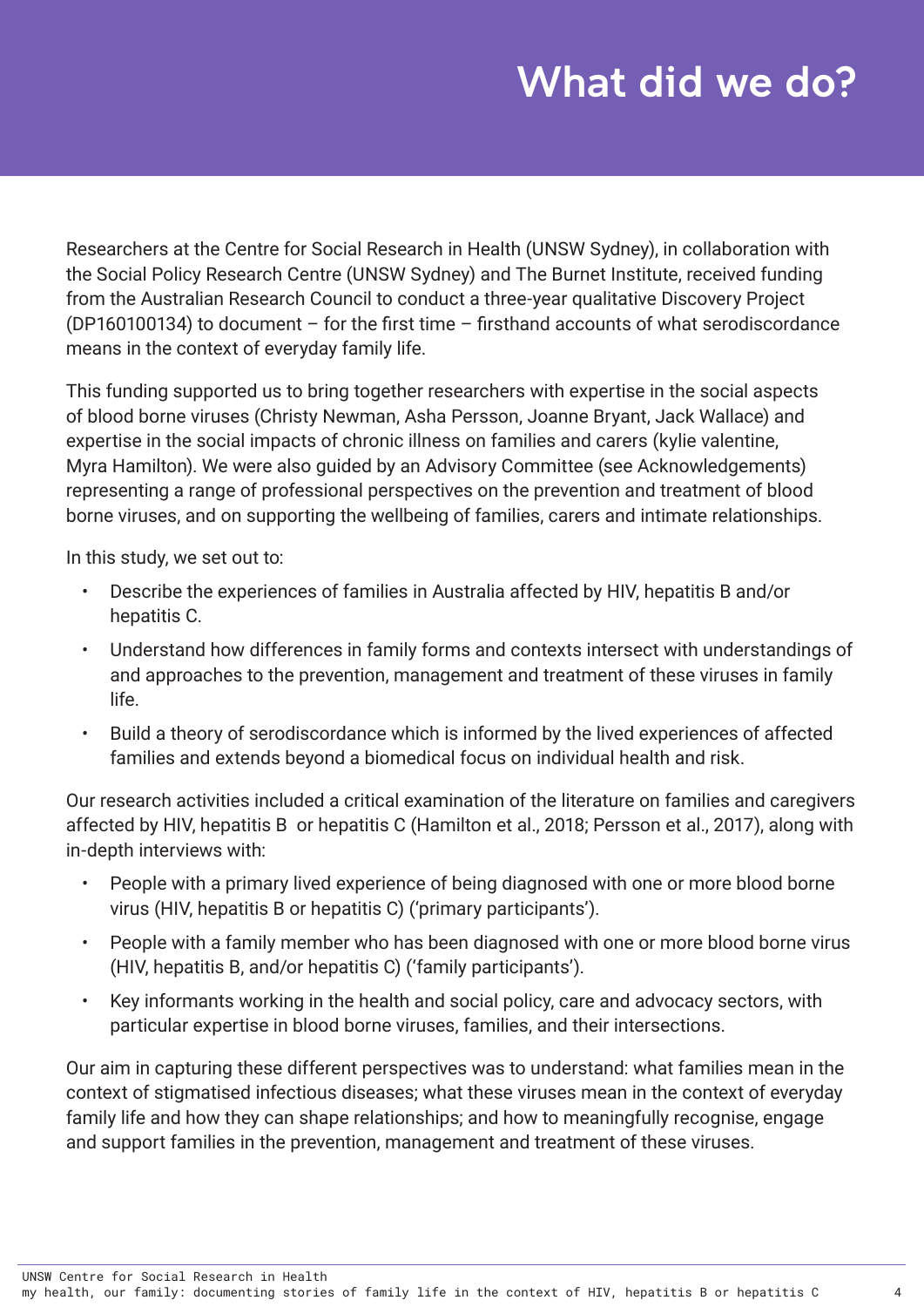## What did we do?

<span id="page-8-0"></span>Researchers at the Centre for Social Research in Health (UNSW Sydney), in collaboration with the Social Policy Research Centre (UNSW Sydney) and The Burnet Institute, received funding from the Australian Research Council to conduct a three-year qualitative Discovery Project (DP160100134) to document – for the first time – firsthand accounts of what serodiscordance means in the context of everyday family life.

This funding supported us to bring together researchers with expertise in the social aspects of blood borne viruses (Christy Newman, Asha Persson, Joanne Bryant, Jack Wallace) and expertise in the social impacts of chronic illness on families and carers (kylie valentine, Myra Hamilton). We were also guided by an Advisory Committee (see Acknowledgements) representing a range of professional perspectives on the prevention and treatment of blood borne viruses, and on supporting the wellbeing of families, carers and intimate relationships.

In this study, we set out to:

- Describe the experiences of families in Australia affected by HIV, hepatitis B and/or hepatitis C.
- Understand how differences in family forms and contexts intersect with understandings of and approaches to the prevention, management and treatment of these viruses in family life.
- Build a theory of serodiscordance which is informed by the lived experiences of affected families and extends beyond a biomedical focus on individual health and risk.

Our research activities included a critical examination of the literature on families and caregivers affected by HIV, hepatitis B or hepatitis C (Hamilton et al., 2018; Persson et al., 2017), along with in-depth interviews with:

- People with a primary lived experience of being diagnosed with one or more blood borne virus (HIV, hepatitis B or hepatitis C) ('primary participants').
- People with a family member who has been diagnosed with one or more blood borne virus (HIV, hepatitis B, and/or hepatitis C) ('family participants').
- Key informants working in the health and social policy, care and advocacy sectors, with particular expertise in blood borne viruses, families, and their intersections.

Our aim in capturing these different perspectives was to understand: what families mean in the context of stigmatised infectious diseases; what these viruses mean in the context of everyday family life and how they can shape relationships; and how to meaningfully recognise, engage and support families in the prevention, management and treatment of these viruses.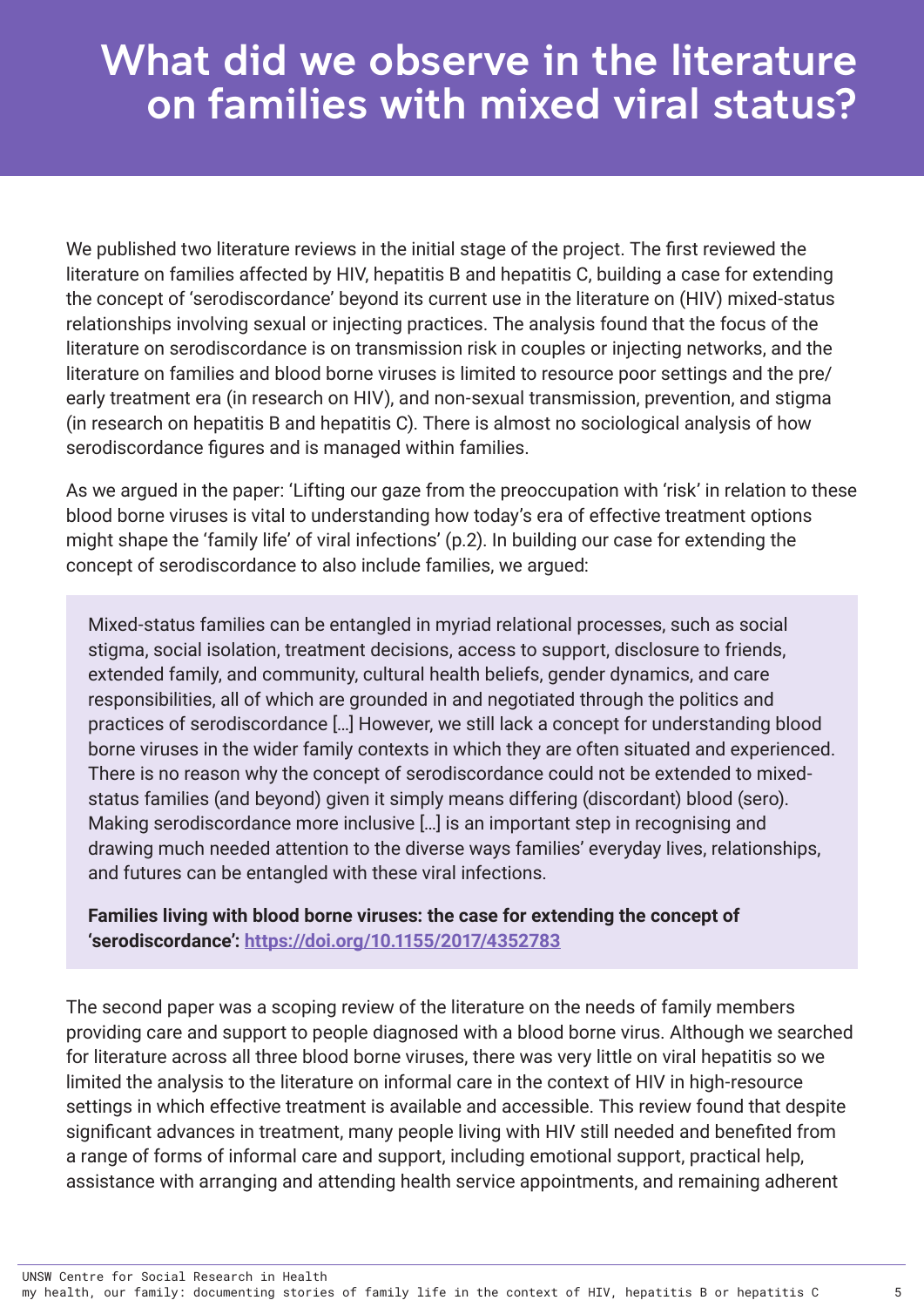## What did we observe in the literature on families with mixed viral status?

We published two literature reviews in the initial stage of the project. The first reviewed the literature on families affected by HIV, hepatitis B and hepatitis C, building a case for extending the concept of 'serodiscordance' beyond its current use in the literature on (HIV) mixed-status relationships involving sexual or injecting practices. The analysis found that the focus of the literature on serodiscordance is on transmission risk in couples or injecting networks, and the literature on families and blood borne viruses is limited to resource poor settings and the pre/ early treatment era (in research on HIV), and non-sexual transmission, prevention, and stigma (in research on hepatitis B and hepatitis C). There is almost no sociological analysis of how serodiscordance figures and is managed within families.

As we argued in the paper: 'Lifting our gaze from the preoccupation with 'risk' in relation to these blood borne viruses is vital to understanding how today's era of effective treatment options might shape the 'family life' of viral infections' (p.2). In building our case for extending the concept of serodiscordance to also include families, we argued:

Mixed-status families can be entangled in myriad relational processes, such as social stigma, social isolation, treatment decisions, access to support, disclosure to friends, extended family, and community, cultural health beliefs, gender dynamics, and care responsibilities, all of which are grounded in and negotiated through the politics and practices of serodiscordance […] However, we still lack a concept for understanding blood borne viruses in the wider family contexts in which they are often situated and experienced. There is no reason why the concept of serodiscordance could not be extended to mixedstatus families (and beyond) given it simply means differing (discordant) blood (sero). Making serodiscordance more inclusive […] is an important step in recognising and drawing much needed attention to the diverse ways families' everyday lives, relationships, and futures can be entangled with these viral infections.

#### **Families living with blood borne viruses: the case for extending the concept of 'serodiscordance': <https://doi.org/10.1155/2017/4352783>**

The second paper was a scoping review of the literature on the needs of family members providing care and support to people diagnosed with a blood borne virus. Although we searched for literature across all three blood borne viruses, there was very little on viral hepatitis so we limited the analysis to the literature on informal care in the context of HIV in high-resource settings in which effective treatment is available and accessible. This review found that despite significant advances in treatment, many people living with HIV still needed and benefited from a range of forms of informal care and support, including emotional support, practical help, assistance with arranging and attending health service appointments, and remaining adherent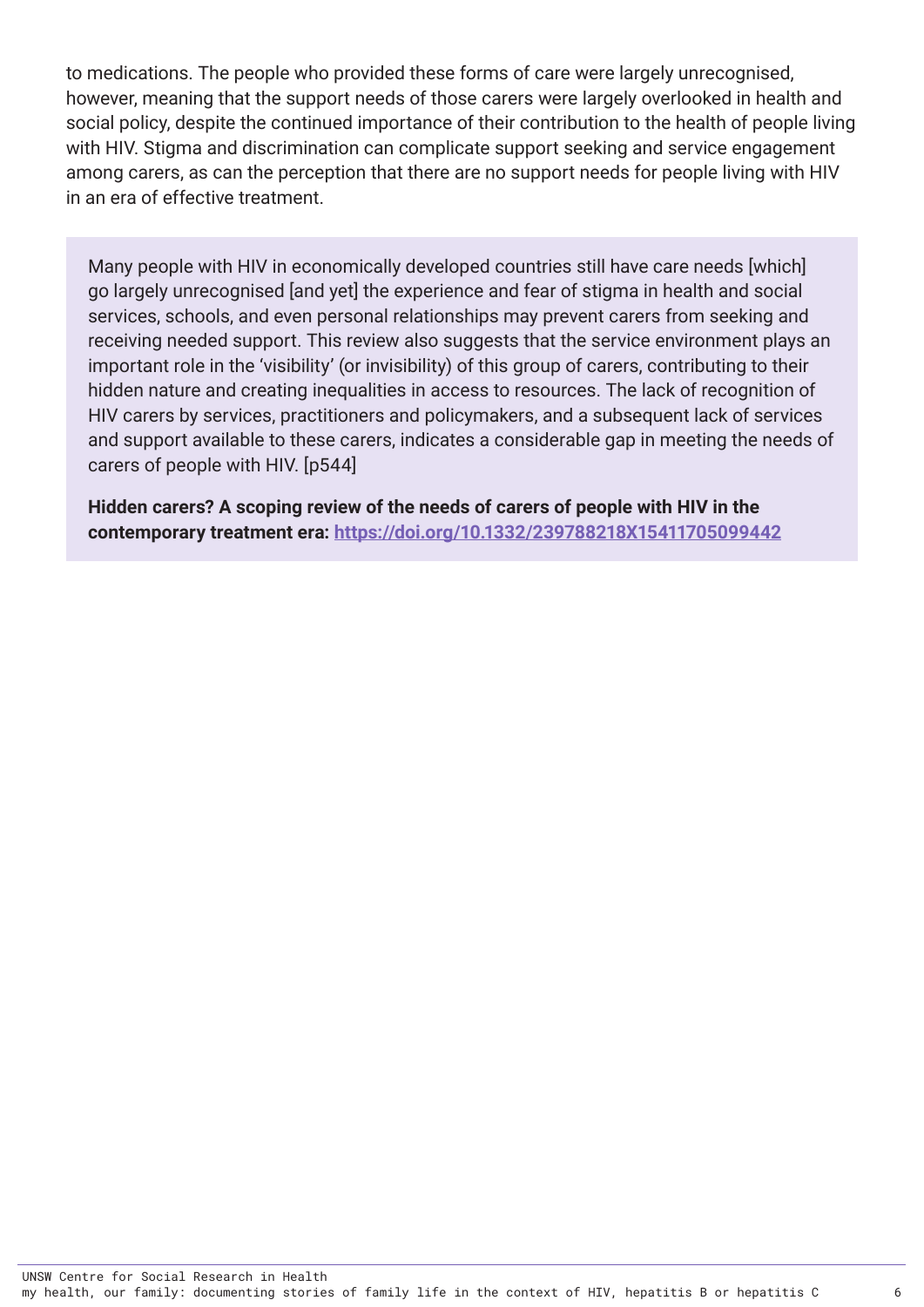to medications. The people who provided these forms of care were largely unrecognised, however, meaning that the support needs of those carers were largely overlooked in health and social policy, despite the continued importance of their contribution to the health of people living with HIV. Stigma and discrimination can complicate support seeking and service engagement among carers, as can the perception that there are no support needs for people living with HIV in an era of effective treatment.

Many people with HIV in economically developed countries still have care needs [which] go largely unrecognised [and yet] the experience and fear of stigma in health and social services, schools, and even personal relationships may prevent carers from seeking and receiving needed support. This review also suggests that the service environment plays an important role in the 'visibility' (or invisibility) of this group of carers, contributing to their hidden nature and creating inequalities in access to resources. The lack of recognition of HIV carers by services, practitioners and policymakers, and a subsequent lack of services and support available to these carers, indicates a considerable gap in meeting the needs of carers of people with HIV. [p544]

**Hidden carers? A scoping review of the needs of carers of people with HIV in the contemporary treatment era:<https://doi.org/10.1332/239788218X15411705099442>**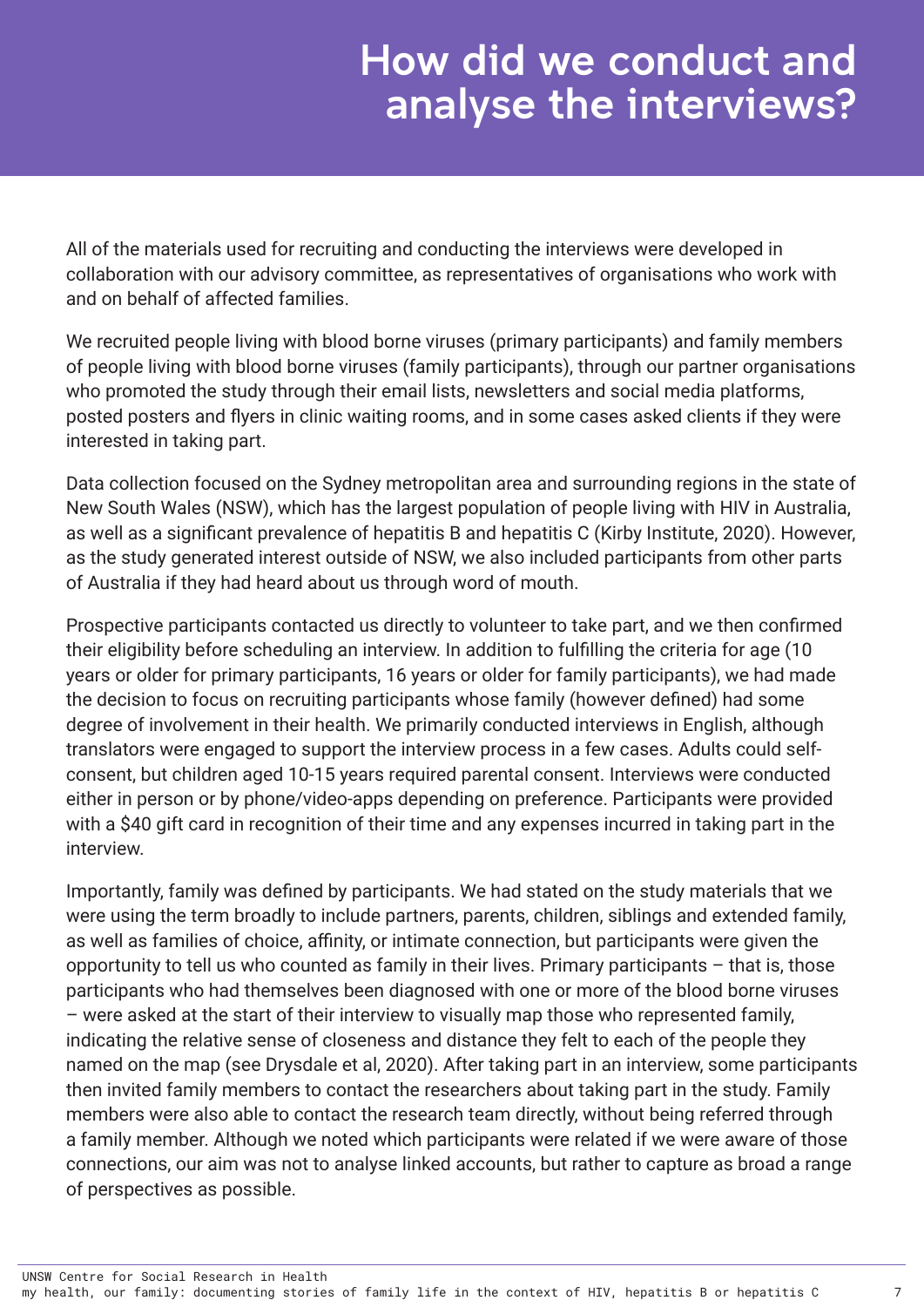## How did we conduct and analyse the interviews?

All of the materials used for recruiting and conducting the interviews were developed in collaboration with our advisory committee, as representatives of organisations who work with and on behalf of affected families.

We recruited people living with blood borne viruses (primary participants) and family members of people living with blood borne viruses (family participants), through our partner organisations who promoted the study through their email lists, newsletters and social media platforms, posted posters and flyers in clinic waiting rooms, and in some cases asked clients if they were interested in taking part.

Data collection focused on the Sydney metropolitan area and surrounding regions in the state of New South Wales (NSW), which has the largest population of people living with HIV in Australia, as well as a significant prevalence of hepatitis B and hepatitis C (Kirby Institute, 2020). However, as the study generated interest outside of NSW, we also included participants from other parts of Australia if they had heard about us through word of mouth.

Prospective participants contacted us directly to volunteer to take part, and we then confirmed their eligibility before scheduling an interview. In addition to fulfilling the criteria for age (10 years or older for primary participants, 16 years or older for family participants), we had made the decision to focus on recruiting participants whose family (however defined) had some degree of involvement in their health. We primarily conducted interviews in English, although translators were engaged to support the interview process in a few cases. Adults could selfconsent, but children aged 10-15 years required parental consent. Interviews were conducted either in person or by phone/video-apps depending on preference. Participants were provided with a \$40 gift card in recognition of their time and any expenses incurred in taking part in the interview.

Importantly, family was defined by participants. We had stated on the study materials that we were using the term broadly to include partners, parents, children, siblings and extended family, as well as families of choice, affinity, or intimate connection, but participants were given the opportunity to tell us who counted as family in their lives. Primary participants – that is, those participants who had themselves been diagnosed with one or more of the blood borne viruses – were asked at the start of their interview to visually map those who represented family, indicating the relative sense of closeness and distance they felt to each of the people they named on the map (see Drysdale et al, 2020). After taking part in an interview, some participants then invited family members to contact the researchers about taking part in the study. Family members were also able to contact the research team directly, without being referred through a family member. Although we noted which participants were related if we were aware of those connections, our aim was not to analyse linked accounts, but rather to capture as broad a range of perspectives as possible.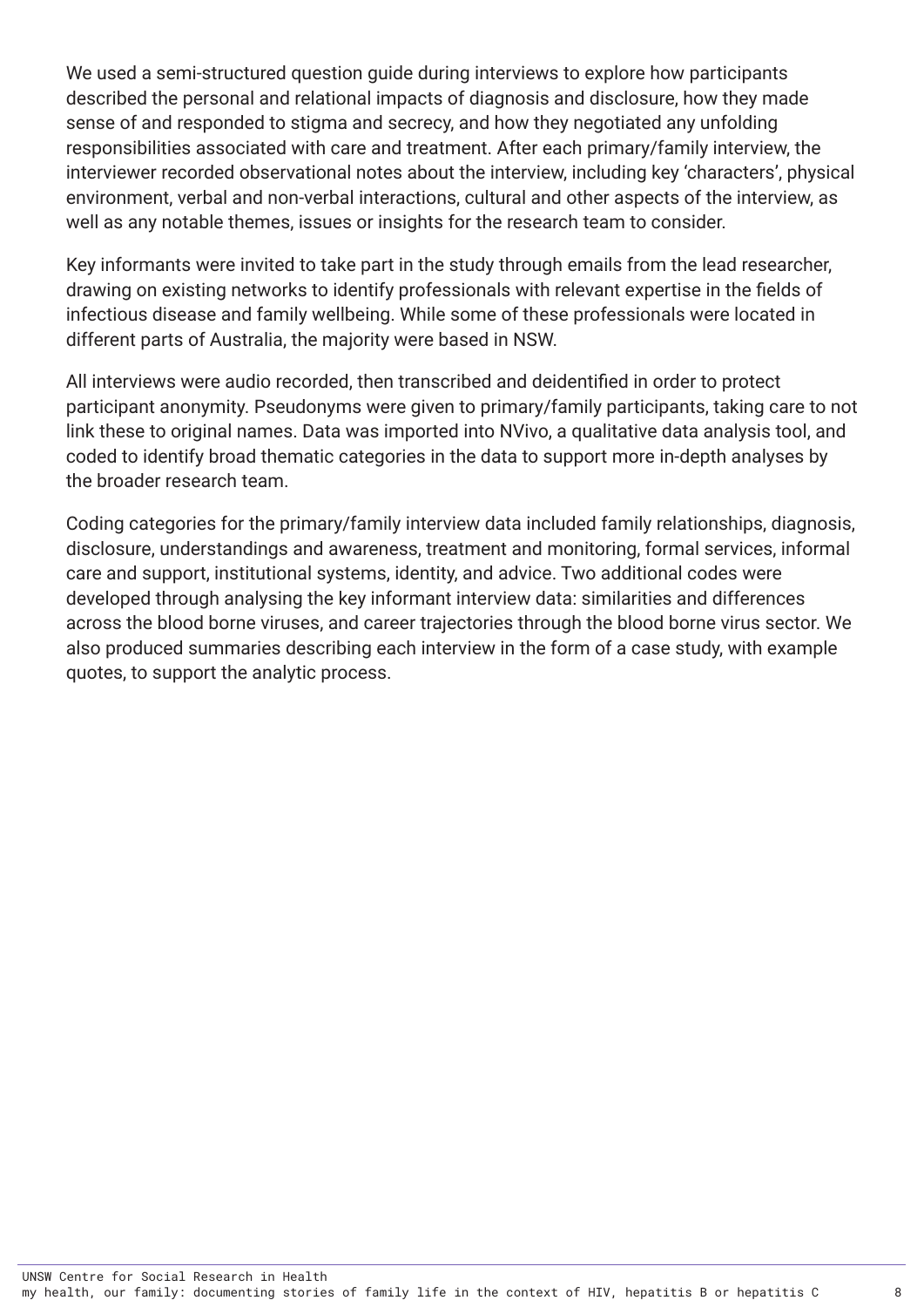We used a semi-structured question guide during interviews to explore how participants described the personal and relational impacts of diagnosis and disclosure, how they made sense of and responded to stigma and secrecy, and how they negotiated any unfolding responsibilities associated with care and treatment. After each primary/family interview, the interviewer recorded observational notes about the interview, including key 'characters', physical environment, verbal and non-verbal interactions, cultural and other aspects of the interview, as well as any notable themes, issues or insights for the research team to consider.

Key informants were invited to take part in the study through emails from the lead researcher, drawing on existing networks to identify professionals with relevant expertise in the fields of infectious disease and family wellbeing. While some of these professionals were located in different parts of Australia, the majority were based in NSW.

All interviews were audio recorded, then transcribed and deidentified in order to protect participant anonymity. Pseudonyms were given to primary/family participants, taking care to not link these to original names. Data was imported into NVivo, a qualitative data analysis tool, and coded to identify broad thematic categories in the data to support more in-depth analyses by the broader research team.

Coding categories for the primary/family interview data included family relationships, diagnosis, disclosure, understandings and awareness, treatment and monitoring, formal services, informal care and support, institutional systems, identity, and advice. Two additional codes were developed through analysing the key informant interview data: similarities and differences across the blood borne viruses, and career trajectories through the blood borne virus sector. We also produced summaries describing each interview in the form of a case study, with example quotes, to support the analytic process.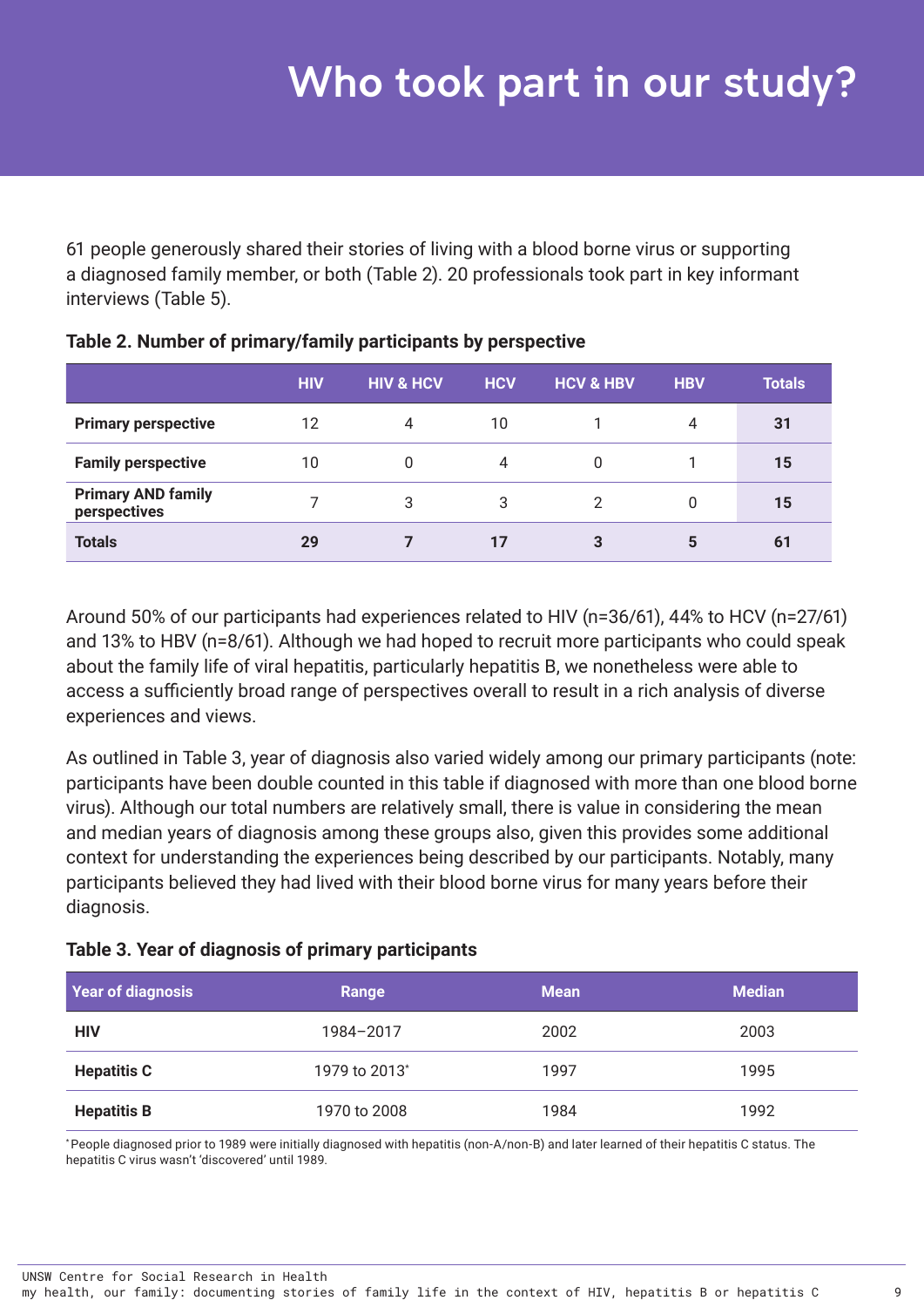<span id="page-13-0"></span>61 people generously shared their stories of living with a blood borne virus or supporting a diagnosed family member, or both (Table 2). 20 professionals took part in key informant interviews (Table 5).

|                                           | <b>HIV</b> | <b>HIV &amp; HCV</b> | <b>HCV</b> | <b>HCV &amp; HBV</b> | <b>HBV</b> | <b>Totals</b> |
|-------------------------------------------|------------|----------------------|------------|----------------------|------------|---------------|
| <b>Primary perspective</b>                | 12         | 4                    | 10         |                      | 4          | 31            |
| <b>Family perspective</b>                 | 10         |                      | 4          |                      |            | 15            |
| <b>Primary AND family</b><br>perspectives |            | 3                    | 3          | 2                    |            | 15            |
| <b>Totals</b>                             | 29         |                      | 17         | 3                    | 5          | 61            |

**Table 2. Number of primary/family participants by perspective** 

Around 50% of our participants had experiences related to HIV (n=36/61), 44% to HCV (n=27/61) and 13% to HBV (n=8/61). Although we had hoped to recruit more participants who could speak about the family life of viral hepatitis, particularly hepatitis B, we nonetheless were able to access a sufficiently broad range of perspectives overall to result in a rich analysis of diverse experiences and views.

As outlined in Table 3, year of diagnosis also varied widely among our primary participants (note: participants have been double counted in this table if diagnosed with more than one blood borne virus). Although our total numbers are relatively small, there is value in considering the mean and median years of diagnosis among these groups also, given this provides some additional context for understanding the experiences being described by our participants. Notably, many participants believed they had lived with their blood borne virus for many years before their diagnosis.

|  |  |  |  |  |  | Table 3. Year of diagnosis of primary participants |
|--|--|--|--|--|--|----------------------------------------------------|
|--|--|--|--|--|--|----------------------------------------------------|

| <b>Year of diagnosis</b> | Range                     | <b>Mean</b> | <b>Median</b> |
|--------------------------|---------------------------|-------------|---------------|
| <b>HIV</b>               | 1984-2017                 | 2002        | 2003          |
| <b>Hepatitis C</b>       | 1979 to 2013 <sup>*</sup> | 1997        | 1995          |
| <b>Hepatitis B</b>       | 1970 to 2008              | 1984        | 1992          |

\* People diagnosed prior to 1989 were initially diagnosed with hepatitis (non-A/non-B) and later learned of their hepatitis C status. The hepatitis C virus wasn't 'discovered' until 1989.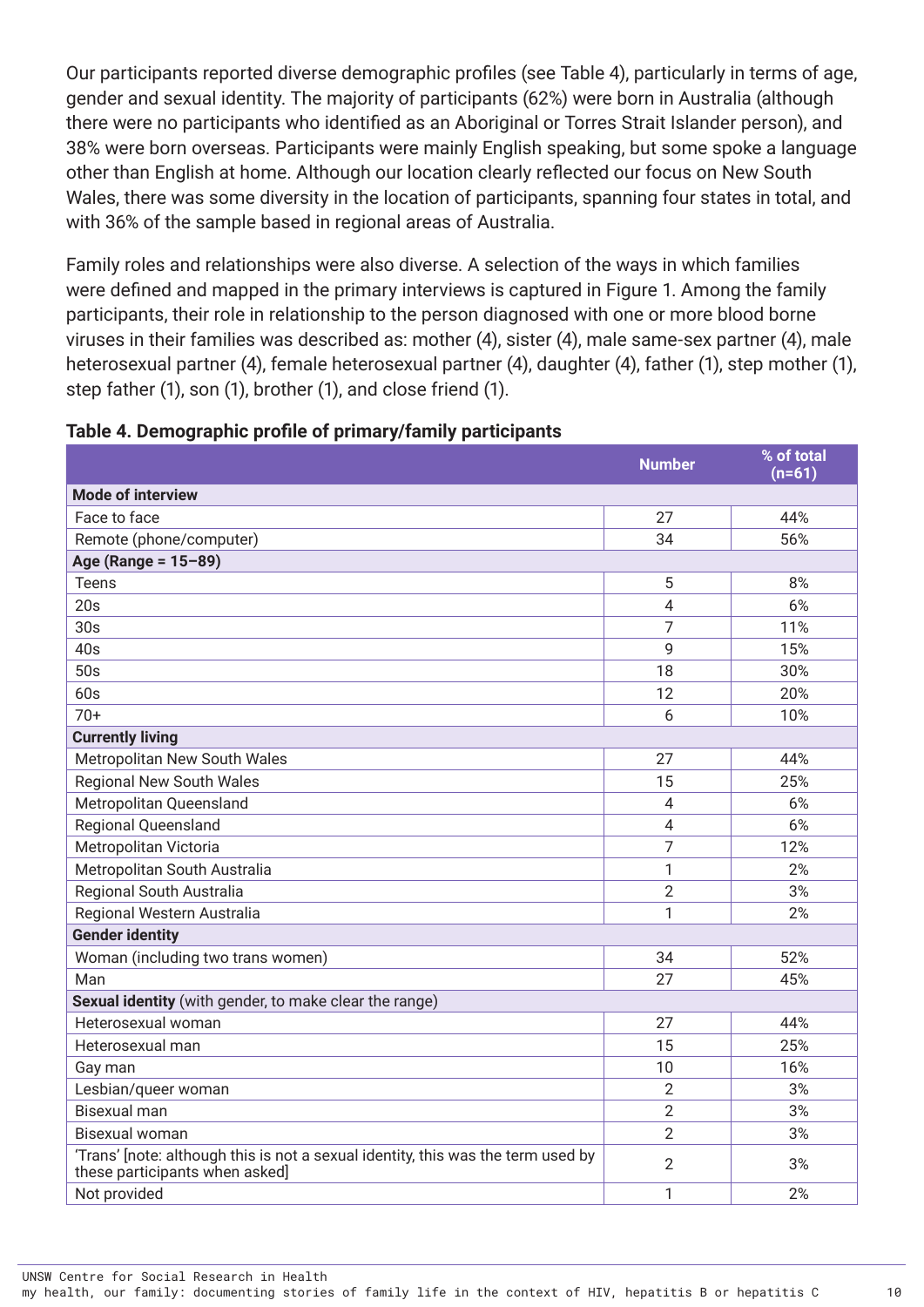Our participants reported diverse demographic profiles (see Table 4), particularly in terms of age, gender and sexual identity. The majority of participants (62%) were born in Australia (although there were no participants who identified as an Aboriginal or Torres Strait Islander person), and 38% were born overseas. Participants were mainly English speaking, but some spoke a language other than English at home. Although our location clearly reflected our focus on New South Wales, there was some diversity in the location of participants, spanning four states in total, and with 36% of the sample based in regional areas of Australia.

Family roles and relationships were also diverse. A selection of the ways in which families were defined and mapped in the primary interviews is captured in Figure 1. Among the family participants, their role in relationship to the person diagnosed with one or more blood borne viruses in their families was described as: mother (4), sister (4), male same-sex partner (4), male heterosexual partner (4), female heterosexual partner (4), daughter (4), father (1), step mother (1), step father (1), son (1), brother (1), and close friend (1).

|                                                                                                                    | <b>Number</b>  | % of total<br>$(n=61)$ |
|--------------------------------------------------------------------------------------------------------------------|----------------|------------------------|
| <b>Mode of interview</b>                                                                                           |                |                        |
| Face to face                                                                                                       | 27             | 44%                    |
| Remote (phone/computer)                                                                                            | 34             | 56%                    |
| Age (Range = $15 - 89$ )                                                                                           |                |                        |
| <b>Teens</b>                                                                                                       | 5              | 8%                     |
| 20s                                                                                                                | $\overline{4}$ | 6%                     |
| 30s                                                                                                                | 7              | 11%                    |
| 40s                                                                                                                | 9              | 15%                    |
| 50s                                                                                                                | 18             | 30%                    |
| 60s                                                                                                                | 12             | 20%                    |
| $70+$                                                                                                              | 6              | 10%                    |
| <b>Currently living</b>                                                                                            |                |                        |
| Metropolitan New South Wales                                                                                       | 27             | 44%                    |
| <b>Regional New South Wales</b>                                                                                    | 15             | 25%                    |
| Metropolitan Queensland                                                                                            | $\overline{4}$ | 6%                     |
| <b>Regional Queensland</b>                                                                                         | $\overline{4}$ | 6%                     |
| Metropolitan Victoria                                                                                              | $\overline{7}$ | 12%                    |
| Metropolitan South Australia                                                                                       | 1              | 2%                     |
| Regional South Australia                                                                                           | $\overline{2}$ | 3%                     |
| Regional Western Australia                                                                                         | 1              | 2%                     |
| <b>Gender identity</b>                                                                                             |                |                        |
| Woman (including two trans women)                                                                                  | 34             | 52%                    |
| Man                                                                                                                | 27             | 45%                    |
| Sexual identity (with gender, to make clear the range)                                                             |                |                        |
| Heterosexual woman                                                                                                 | 27             | 44%                    |
| Heterosexual man                                                                                                   | 15             | 25%                    |
| Gay man                                                                                                            | 10             | 16%                    |
| Lesbian/queer woman                                                                                                | $\overline{2}$ | 3%                     |
| <b>Bisexual man</b>                                                                                                | $\overline{2}$ | 3%                     |
| <b>Bisexual woman</b>                                                                                              | $\overline{2}$ | 3%                     |
| 'Trans' [note: although this is not a sexual identity, this was the term used by<br>these participants when asked] | $\overline{2}$ | 3%                     |
| Not provided                                                                                                       | 1              | 2%                     |

| Table 4. Demographic profile of primary/family participants |  |  |
|-------------------------------------------------------------|--|--|
|                                                             |  |  |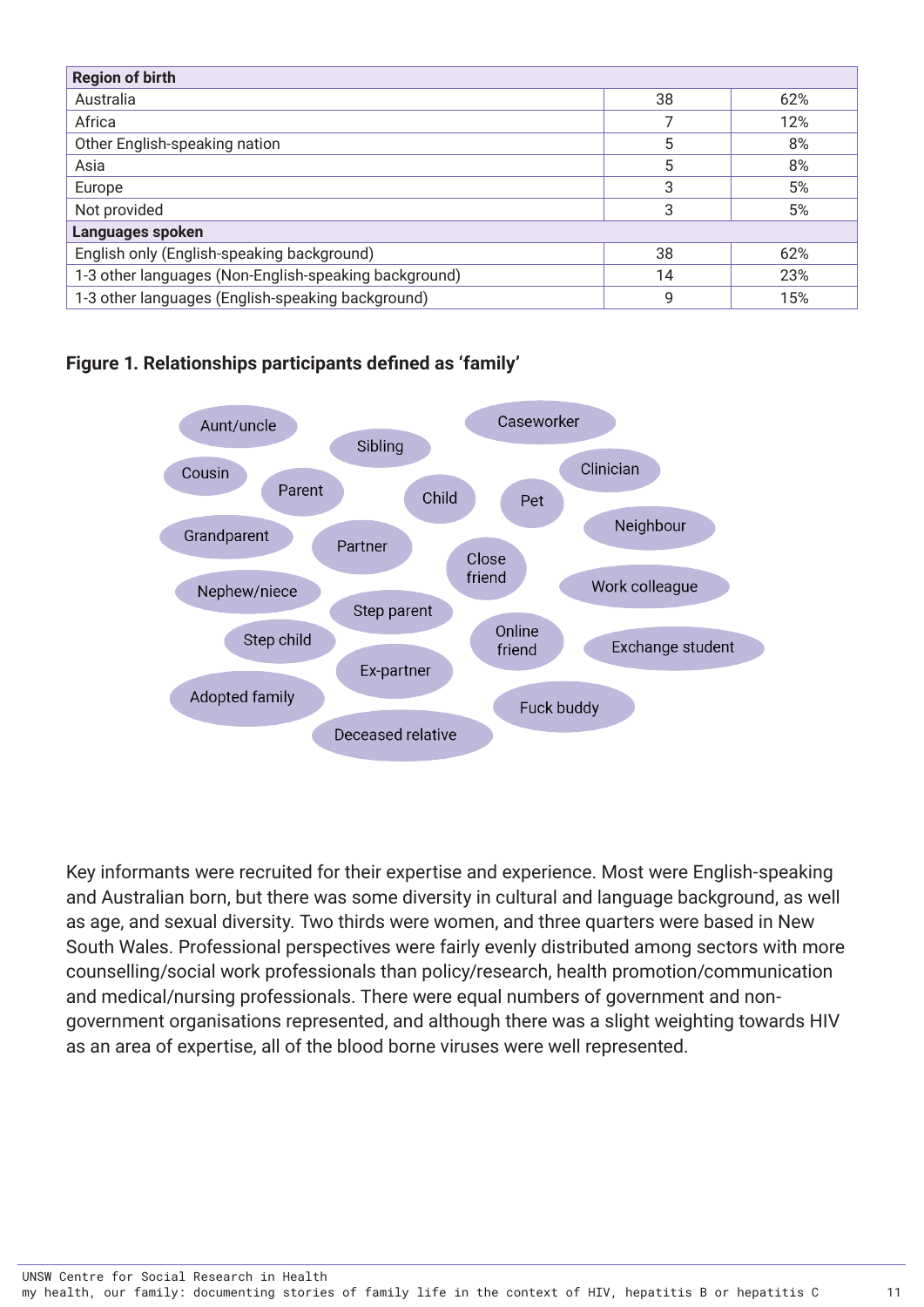<span id="page-15-0"></span>

| <b>Region of birth</b>                                |    |     |  |  |  |
|-------------------------------------------------------|----|-----|--|--|--|
| Australia                                             | 38 | 62% |  |  |  |
| Africa                                                |    | 12% |  |  |  |
| Other English-speaking nation                         | 5  | 8%  |  |  |  |
| Asia                                                  | 5  | 8%  |  |  |  |
| Europe                                                | 3  | 5%  |  |  |  |
| Not provided                                          | 3  | 5%  |  |  |  |
| Languages spoken                                      |    |     |  |  |  |
| English only (English-speaking background)            | 38 | 62% |  |  |  |
| 1-3 other languages (Non-English-speaking background) | 14 | 23% |  |  |  |
| 1-3 other languages (English-speaking background)     | 9  | 15% |  |  |  |

#### **Figure 1. Relationships participants defined as 'family'**



Key informants were recruited for their expertise and experience. Most were English-speaking and Australian born, but there was some diversity in cultural and language background, as well as age, and sexual diversity. Two thirds were women, and three quarters were based in New South Wales. Professional perspectives were fairly evenly distributed among sectors with more counselling/social work professionals than policy/research, health promotion/communication and medical/nursing professionals. There were equal numbers of government and nongovernment organisations represented, and although there was a slight weighting towards HIV as an area of expertise, all of the blood borne viruses were well represented.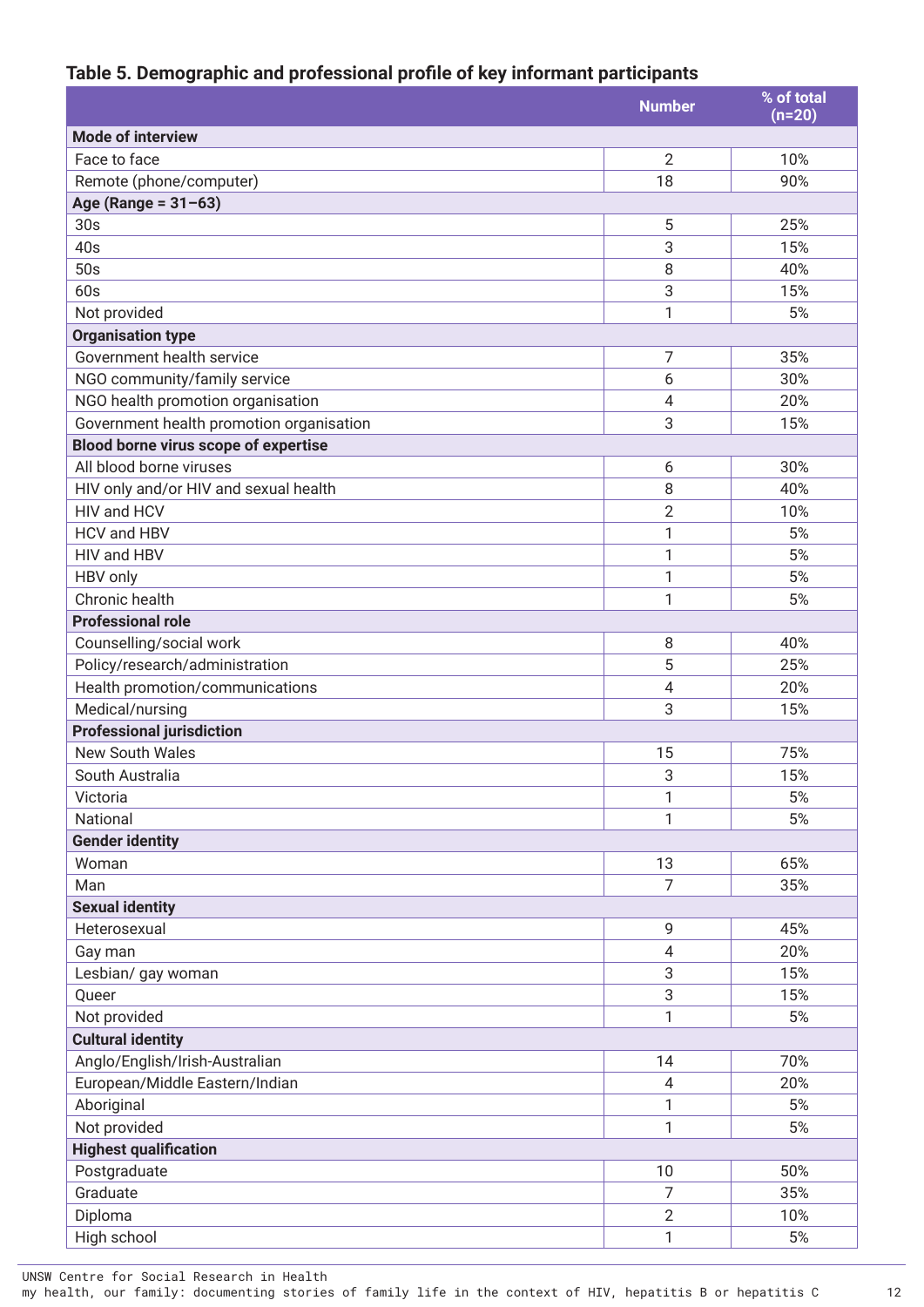#### **Table 5. Demographic and professional profile of key informant participants**

|                                          | <b>Number</b>  | % of total<br>$(n=20)$ |
|------------------------------------------|----------------|------------------------|
| <b>Mode of interview</b>                 |                |                        |
| Face to face                             | $\overline{2}$ | 10%                    |
| Remote (phone/computer)                  | 18             | 90%                    |
| Age (Range = $31-63$ )                   |                |                        |
| 30s                                      | 5              | 25%                    |
| 40s                                      | 3              | 15%                    |
| 50s                                      | 8              | 40%                    |
| 60s                                      | 3              | 15%                    |
| Not provided                             | 1              | 5%                     |
| <b>Organisation type</b>                 |                |                        |
| Government health service                | 7              | 35%                    |
| NGO community/family service             | 6              | 30%                    |
| NGO health promotion organisation        | $\overline{4}$ | 20%                    |
| Government health promotion organisation | 3              | 15%                    |
| Blood borne virus scope of expertise     |                |                        |
| All blood borne viruses                  | 6              | 30%                    |
| HIV only and/or HIV and sexual health    | 8              | 40%                    |
| HIV and HCV                              | $\overline{2}$ | 10%                    |
| HCV and HBV                              | 1              | 5%                     |
| HIV and HBV                              | 1              | 5%                     |
| HBV only                                 | 1              | 5%                     |
| Chronic health                           | 1              | 5%                     |
| <b>Professional role</b>                 |                |                        |
| Counselling/social work                  | 8              | 40%                    |
| Policy/research/administration           | 5              | 25%                    |
| Health promotion/communications          | 4              | 20%                    |
| Medical/nursing                          | 3              | 15%                    |
| <b>Professional jurisdiction</b>         |                |                        |
| <b>New South Wales</b>                   | 15             | 75%                    |
| South Australia                          | 3              | 15%                    |
| Victoria                                 | 1              | 5%                     |
| National                                 | 1              | 5%                     |
| <b>Gender identity</b>                   |                |                        |
| Woman                                    | 13             | 65%                    |
| Man                                      | 7              | 35%                    |
| <b>Sexual identity</b>                   |                |                        |
| Heterosexual                             | 9              | 45%                    |
| Gay man                                  | 4              | 20%                    |
| Lesbian/ gay woman                       | 3              | 15%                    |
| Queer                                    | 3              | 15%                    |
| Not provided                             | 1              | 5%                     |
| <b>Cultural identity</b>                 |                |                        |
| Anglo/English/Irish-Australian           | 14             | 70%                    |
| European/Middle Eastern/Indian           | 4              | 20%                    |
| Aboriginal                               | 1              | 5%                     |
| Not provided                             | 1              | 5%                     |
| <b>Highest qualification</b>             |                |                        |
| Postgraduate                             | 10             | 50%                    |
| Graduate                                 | $\overline{7}$ | 35%                    |
| Diploma                                  | $\mathbf{2}$   | 10%                    |
| High school                              | 1              | 5%                     |

UNSW Centre for Social Research in Health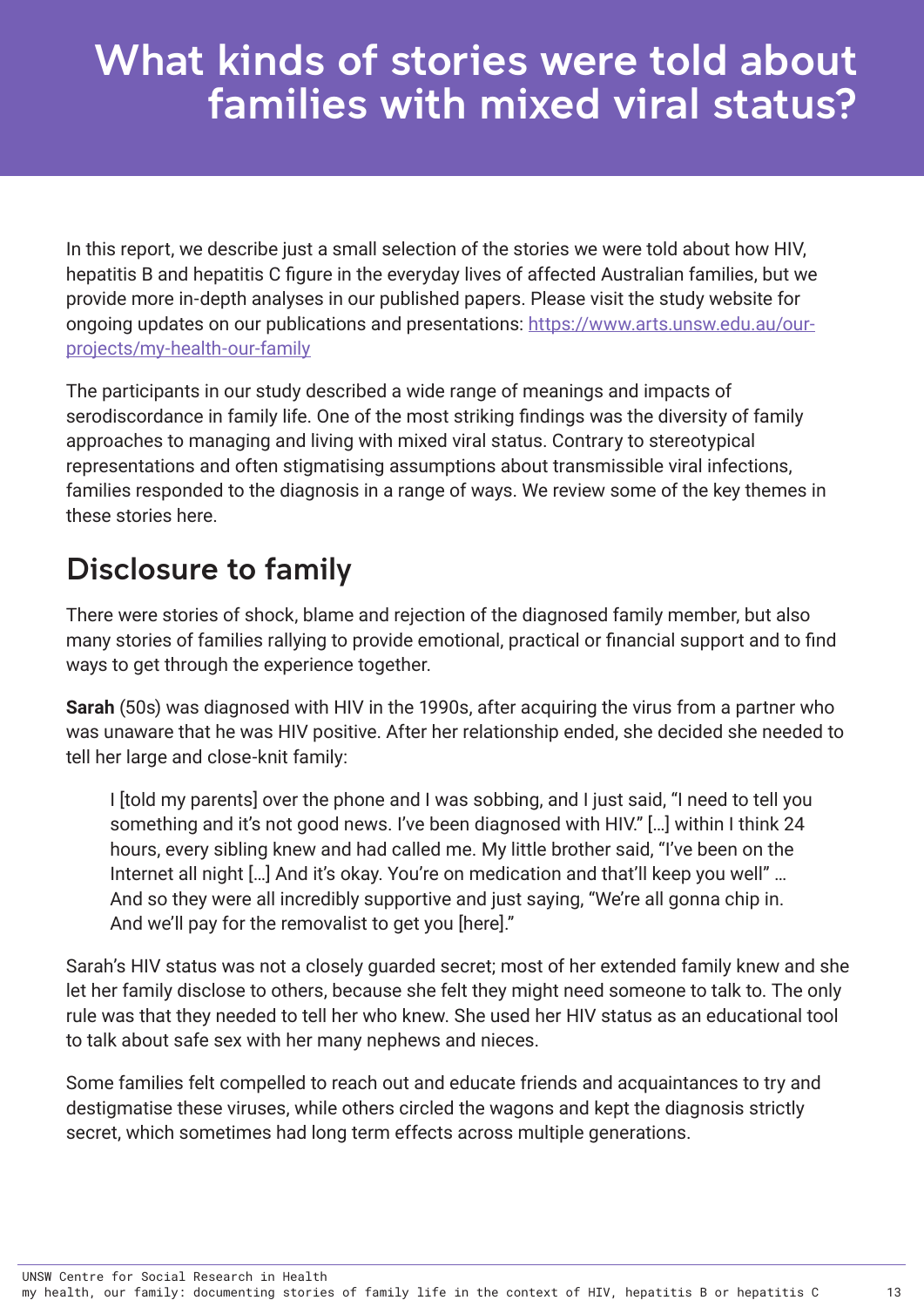## <span id="page-17-0"></span>What kinds of stories were told about families with mixed viral status?

In this report, we describe just a small selection of the stories we were told about how HIV, hepatitis B and hepatitis C figure in the everyday lives of affected Australian families, but we provide more in-depth analyses in our published papers. Please visit the study website for ongoing updates on our publications and presentations: [https://www.arts.unsw.edu.au/our](https://www.arts.unsw.edu.au/our-projects/my-health-our-family)[projects/my-health-our-family](https://www.arts.unsw.edu.au/our-projects/my-health-our-family)

The participants in our study described a wide range of meanings and impacts of serodiscordance in family life. One of the most striking findings was the diversity of family approaches to managing and living with mixed viral status. Contrary to stereotypical representations and often stigmatising assumptions about transmissible viral infections, families responded to the diagnosis in a range of ways. We review some of the key themes in these stories here.

### Disclosure to family

There were stories of shock, blame and rejection of the diagnosed family member, but also many stories of families rallying to provide emotional, practical or financial support and to find ways to get through the experience together.

**Sarah** (50s) was diagnosed with HIV in the 1990s, after acquiring the virus from a partner who was unaware that he was HIV positive. After her relationship ended, she decided she needed to tell her large and close-knit family:

I [told my parents] over the phone and I was sobbing, and I just said, "I need to tell you something and it's not good news. I've been diagnosed with HIV." […] within I think 24 hours, every sibling knew and had called me. My little brother said, "I've been on the Internet all night [...] And it's okay. You're on medication and that'll keep you well" ... And so they were all incredibly supportive and just saying, "We're all gonna chip in. And we'll pay for the removalist to get you [here]."

Sarah's HIV status was not a closely guarded secret; most of her extended family knew and she let her family disclose to others, because she felt they might need someone to talk to. The only rule was that they needed to tell her who knew. She used her HIV status as an educational tool to talk about safe sex with her many nephews and nieces.

Some families felt compelled to reach out and educate friends and acquaintances to try and destigmatise these viruses, while others circled the wagons and kept the diagnosis strictly secret, which sometimes had long term effects across multiple generations.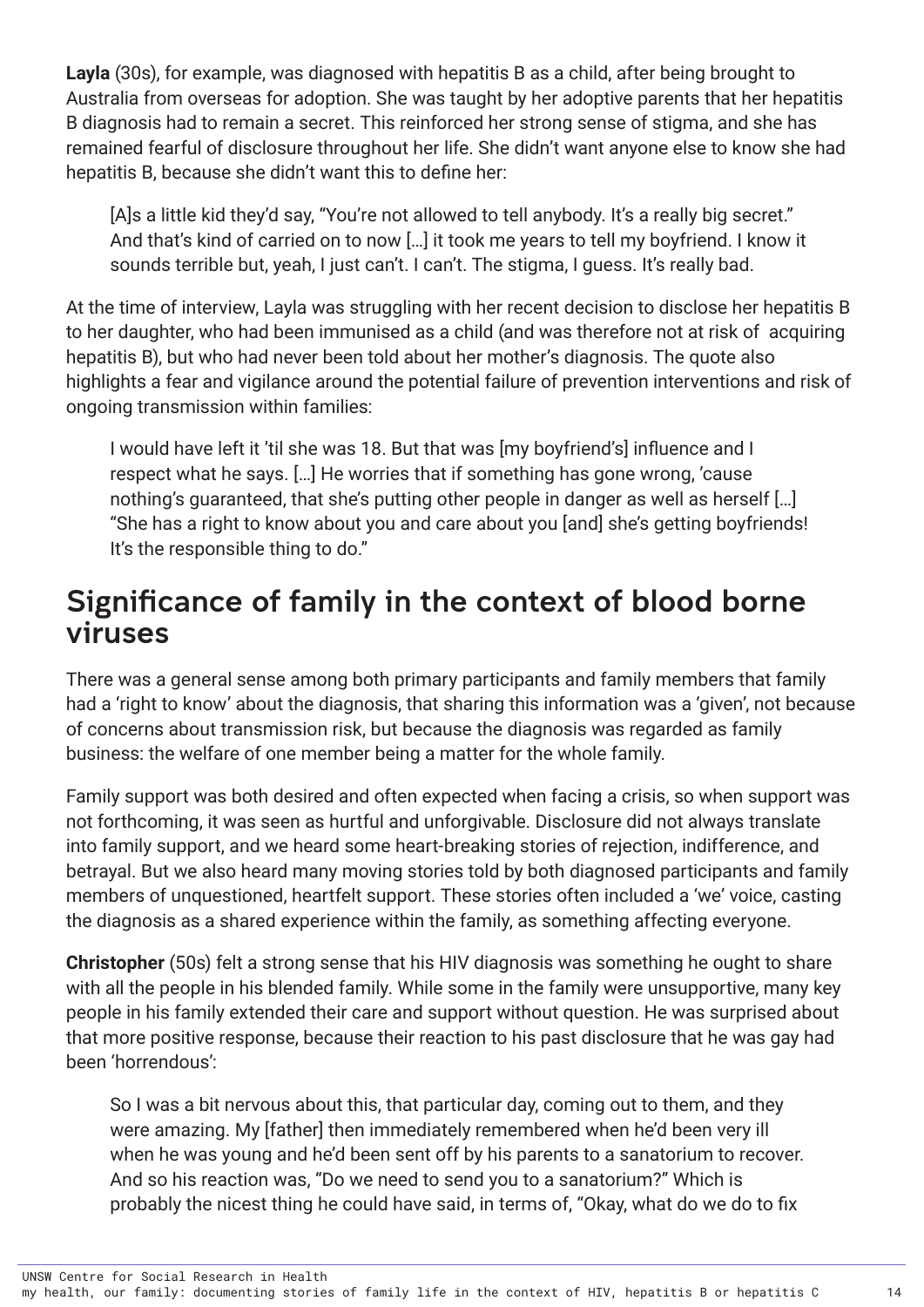<span id="page-18-0"></span>**Layla** (30s), for example, was diagnosed with hepatitis B as a child, after being brought to Australia from overseas for adoption. She was taught by her adoptive parents that her hepatitis B diagnosis had to remain a secret. This reinforced her strong sense of stigma, and she has remained fearful of disclosure throughout her life. She didn't want anyone else to know she had hepatitis B, because she didn't want this to define her:

[A]s a little kid they'd say, "You're not allowed to tell anybody. It's a really big secret." And that's kind of carried on to now […] it took me years to tell my boyfriend. I know it sounds terrible but, yeah, I just can't. I can't. The stigma, I guess. It's really bad.

At the time of interview, Layla was struggling with her recent decision to disclose her hepatitis B to her daughter, who had been immunised as a child (and was therefore not at risk of acquiring hepatitis B), but who had never been told about her mother's diagnosis. The quote also highlights a fear and vigilance around the potential failure of prevention interventions and risk of ongoing transmission within families:

I would have left it 'til she was 18. But that was [my boyfriend's] influence and I respect what he says. […] He worries that if something has gone wrong, 'cause nothing's guaranteed, that she's putting other people in danger as well as herself […] "She has a right to know about you and care about you [and] she's getting boyfriends! It's the responsible thing to do."

### Significance of family in the context of blood borne viruses

There was a general sense among both primary participants and family members that family had a 'right to know' about the diagnosis, that sharing this information was a 'given', not because of concerns about transmission risk, but because the diagnosis was regarded as family business: the welfare of one member being a matter for the whole family.

Family support was both desired and often expected when facing a crisis, so when support was not forthcoming, it was seen as hurtful and unforgivable. Disclosure did not always translate into family support, and we heard some heart-breaking stories of rejection, indifference, and betrayal. But we also heard many moving stories told by both diagnosed participants and family members of unquestioned, heartfelt support. These stories often included a 'we' voice, casting the diagnosis as a shared experience within the family, as something affecting everyone.

**Christopher** (50s) felt a strong sense that his HIV diagnosis was something he ought to share with all the people in his blended family. While some in the family were unsupportive, many key people in his family extended their care and support without question. He was surprised about that more positive response, because their reaction to his past disclosure that he was gay had been 'horrendous':

So I was a bit nervous about this, that particular day, coming out to them, and they were amazing. My [father] then immediately remembered when he'd been very ill when he was young and he'd been sent off by his parents to a sanatorium to recover. And so his reaction was, "Do we need to send you to a sanatorium?" Which is probably the nicest thing he could have said, in terms of, "Okay, what do we do to fix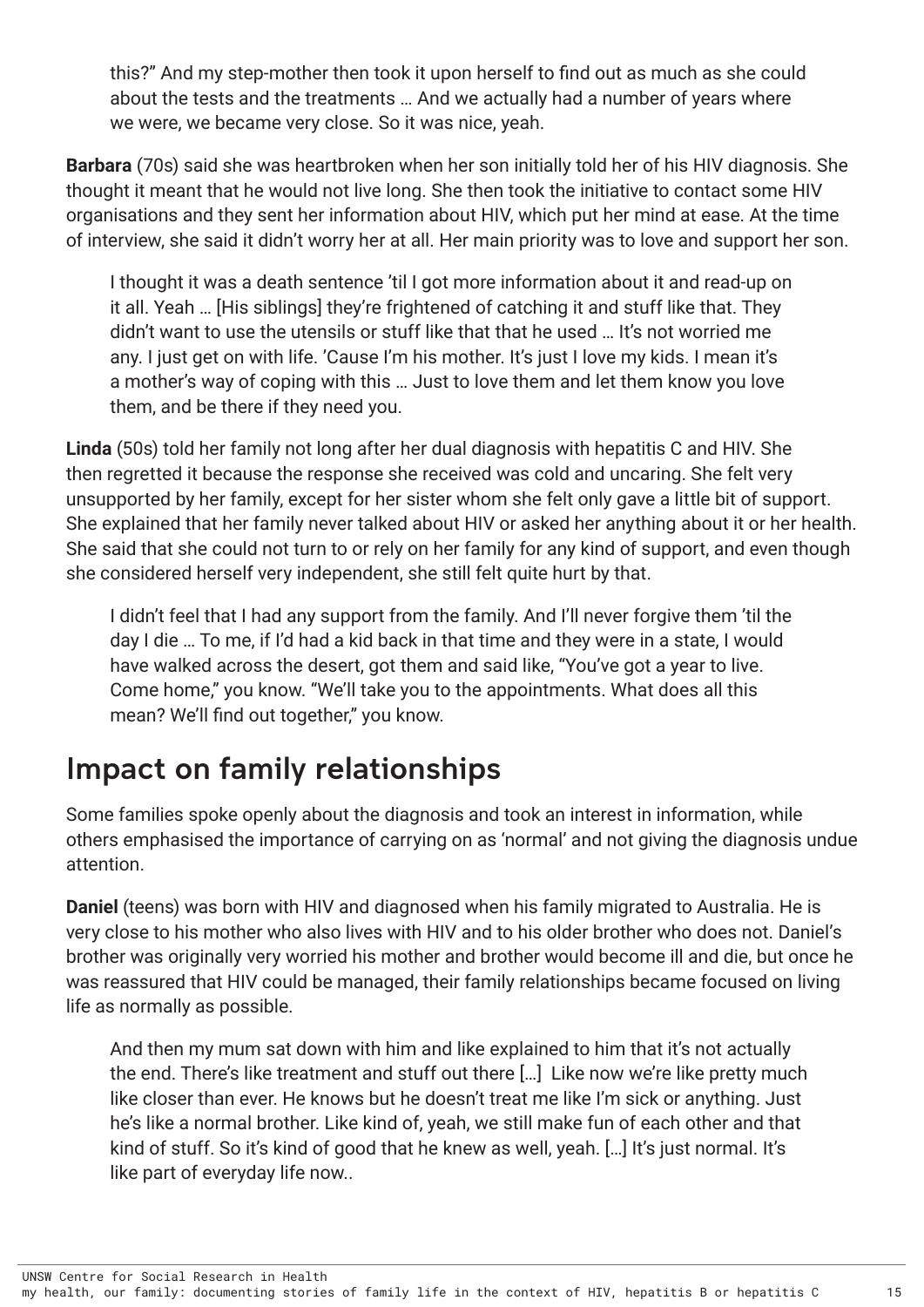<span id="page-19-0"></span>this?" And my step-mother then took it upon herself to find out as much as she could about the tests and the treatments … And we actually had a number of years where we were, we became very close. So it was nice, yeah.

**Barbara** (70s) said she was heartbroken when her son initially told her of his HIV diagnosis. She thought it meant that he would not live long. She then took the initiative to contact some HIV organisations and they sent her information about HIV, which put her mind at ease. At the time of interview, she said it didn't worry her at all. Her main priority was to love and support her son.

I thought it was a death sentence 'til I got more information about it and read-up on it all. Yeah … [His siblings] they're frightened of catching it and stuff like that. They didn't want to use the utensils or stuff like that that he used … It's not worried me any. I just get on with life. 'Cause I'm his mother. It's just I love my kids. I mean it's a mother's way of coping with this … Just to love them and let them know you love them, and be there if they need you.

**Linda** (50s) told her family not long after her dual diagnosis with hepatitis C and HIV. She then regretted it because the response she received was cold and uncaring. She felt very unsupported by her family, except for her sister whom she felt only gave a little bit of support. She explained that her family never talked about HIV or asked her anything about it or her health. She said that she could not turn to or rely on her family for any kind of support, and even though she considered herself very independent, she still felt quite hurt by that.

I didn't feel that I had any support from the family. And I'll never forgive them 'til the day I die … To me, if I'd had a kid back in that time and they were in a state, I would have walked across the desert, got them and said like, "You've got a year to live. Come home," you know. "We'll take you to the appointments. What does all this mean? We'll find out together," you know.

### Impact on family relationships

Some families spoke openly about the diagnosis and took an interest in information, while others emphasised the importance of carrying on as 'normal' and not giving the diagnosis undue attention.

**Daniel** (teens) was born with HIV and diagnosed when his family migrated to Australia. He is very close to his mother who also lives with HIV and to his older brother who does not. Daniel's brother was originally very worried his mother and brother would become ill and die, but once he was reassured that HIV could be managed, their family relationships became focused on living life as normally as possible.

And then my mum sat down with him and like explained to him that it's not actually the end. There's like treatment and stuff out there […] Like now we're like pretty much like closer than ever. He knows but he doesn't treat me like I'm sick or anything. Just he's like a normal brother. Like kind of, yeah, we still make fun of each other and that kind of stuff. So it's kind of good that he knew as well, yeah. […] It's just normal. It's like part of everyday life now..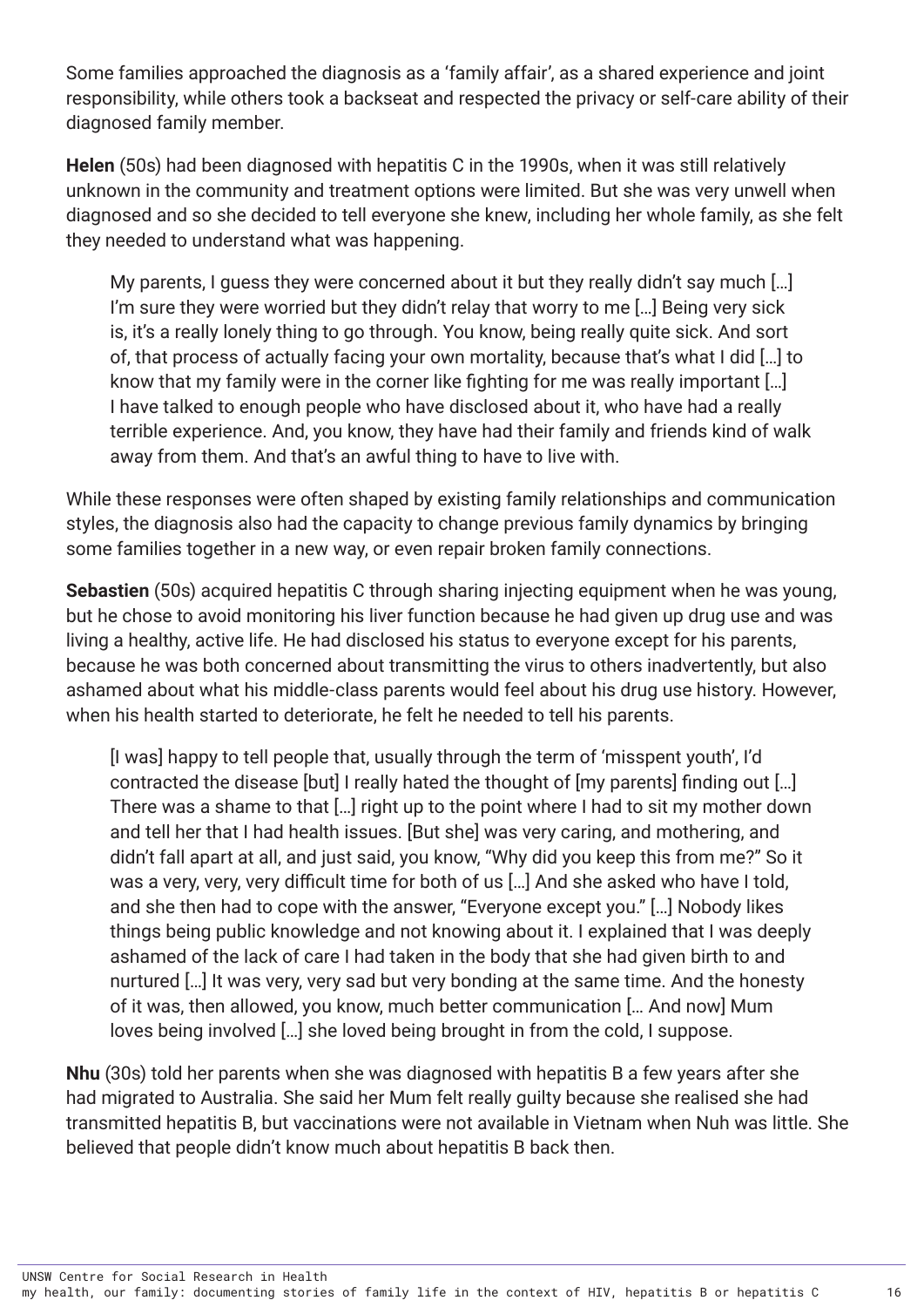Some families approached the diagnosis as a 'family affair', as a shared experience and joint responsibility, while others took a backseat and respected the privacy or self-care ability of their diagnosed family member.

**Helen** (50s) had been diagnosed with hepatitis C in the 1990s, when it was still relatively unknown in the community and treatment options were limited. But she was very unwell when diagnosed and so she decided to tell everyone she knew, including her whole family, as she felt they needed to understand what was happening.

My parents, I guess they were concerned about it but they really didn't say much [...] I'm sure they were worried but they didn't relay that worry to me […] Being very sick is, it's a really lonely thing to go through. You know, being really quite sick. And sort of, that process of actually facing your own mortality, because that's what I did […] to know that my family were in the corner like fighting for me was really important […] I have talked to enough people who have disclosed about it, who have had a really terrible experience. And, you know, they have had their family and friends kind of walk away from them. And that's an awful thing to have to live with.

While these responses were often shaped by existing family relationships and communication styles, the diagnosis also had the capacity to change previous family dynamics by bringing some families together in a new way, or even repair broken family connections.

**Sebastien** (50s) acquired hepatitis C through sharing injecting equipment when he was young, but he chose to avoid monitoring his liver function because he had given up drug use and was living a healthy, active life. He had disclosed his status to everyone except for his parents, because he was both concerned about transmitting the virus to others inadvertently, but also ashamed about what his middle-class parents would feel about his drug use history. However, when his health started to deteriorate, he felt he needed to tell his parents.

[I was] happy to tell people that, usually through the term of 'misspent youth', I'd contracted the disease [but] I really hated the thought of [my parents] finding out […] There was a shame to that […] right up to the point where I had to sit my mother down and tell her that I had health issues. [But she] was very caring, and mothering, and didn't fall apart at all, and just said, you know, "Why did you keep this from me?" So it was a very, very, very difficult time for both of us […] And she asked who have I told, and she then had to cope with the answer, "Everyone except you." […] Nobody likes things being public knowledge and not knowing about it. I explained that I was deeply ashamed of the lack of care I had taken in the body that she had given birth to and nurtured […] It was very, very sad but very bonding at the same time. And the honesty of it was, then allowed, you know, much better communication [… And now] Mum loves being involved […] she loved being brought in from the cold, I suppose.

**Nhu** (30s) told her parents when she was diagnosed with hepatitis B a few years after she had migrated to Australia. She said her Mum felt really guilty because she realised she had transmitted hepatitis B, but vaccinations were not available in Vietnam when Nuh was little. She believed that people didn't know much about hepatitis B back then.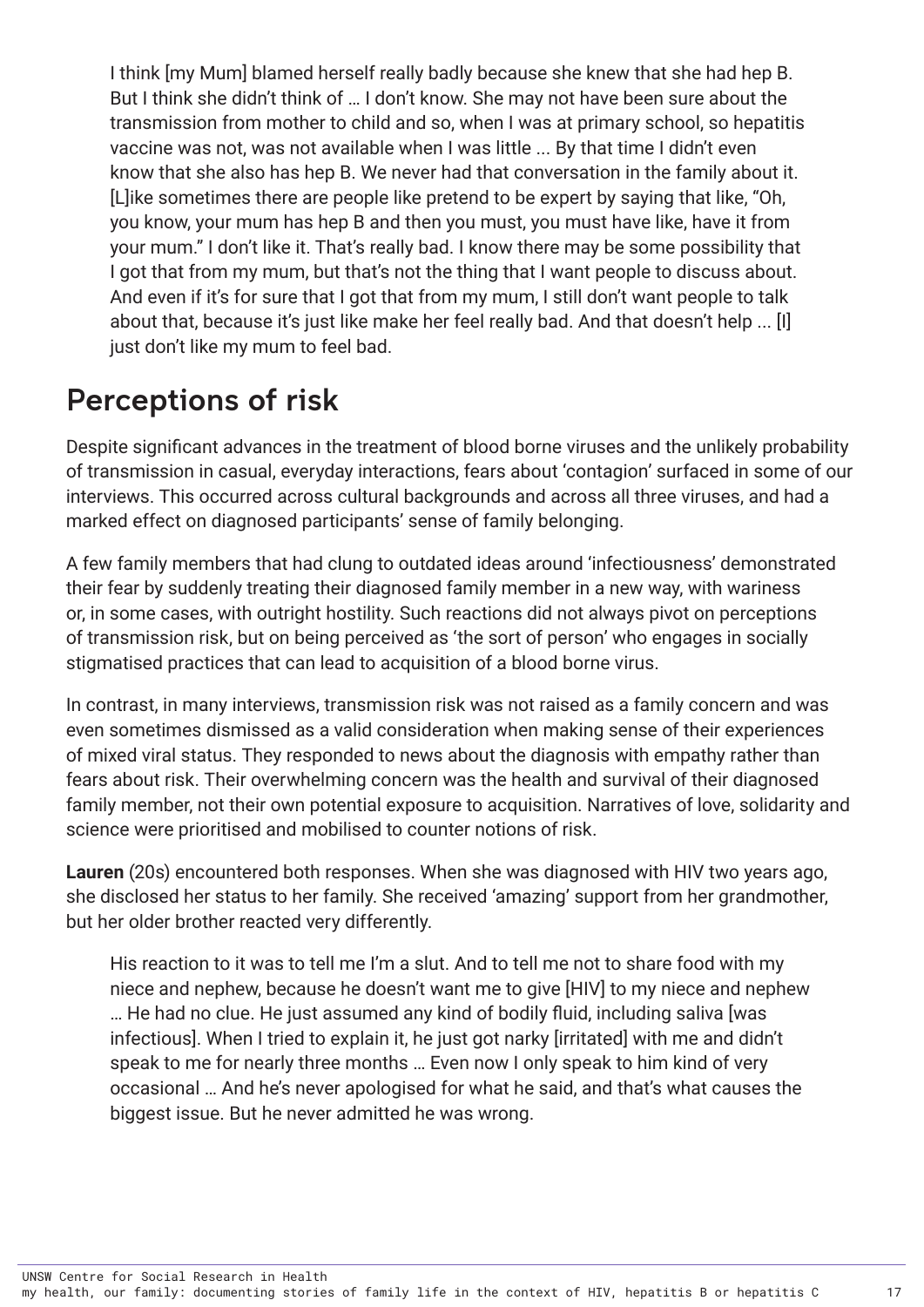I think [my Mum] blamed herself really badly because she knew that she had hep B. But I think she didn't think of … I don't know. She may not have been sure about the transmission from mother to child and so, when I was at primary school, so hepatitis vaccine was not, was not available when I was little ... By that time I didn't even know that she also has hep B. We never had that conversation in the family about it. [L]ike sometimes there are people like pretend to be expert by saying that like, "Oh, you know, your mum has hep B and then you must, you must have like, have it from your mum." I don't like it. That's really bad. I know there may be some possibility that I got that from my mum, but that's not the thing that I want people to discuss about. And even if it's for sure that I got that from my mum, I still don't want people to talk about that, because it's just like make her feel really bad. And that doesn't help ... [I] just don't like my mum to feel bad.

### Perceptions of risk

Despite significant advances in the treatment of blood borne viruses and the unlikely probability of transmission in casual, everyday interactions, fears about 'contagion' surfaced in some of our interviews. This occurred across cultural backgrounds and across all three viruses, and had a marked effect on diagnosed participants' sense of family belonging.

A few family members that had clung to outdated ideas around 'infectiousness' demonstrated their fear by suddenly treating their diagnosed family member in a new way, with wariness or, in some cases, with outright hostility. Such reactions did not always pivot on perceptions of transmission risk, but on being perceived as 'the sort of person' who engages in socially stigmatised practices that can lead to acquisition of a blood borne virus.

In contrast, in many interviews, transmission risk was not raised as a family concern and was even sometimes dismissed as a valid consideration when making sense of their experiences of mixed viral status. They responded to news about the diagnosis with empathy rather than fears about risk. Their overwhelming concern was the health and survival of their diagnosed family member, not their own potential exposure to acquisition. Narratives of love, solidarity and science were prioritised and mobilised to counter notions of risk.

**Lauren** (20s) encountered both responses. When she was diagnosed with HIV two years ago, she disclosed her status to her family. She received 'amazing' support from her grandmother, but her older brother reacted very differently.

His reaction to it was to tell me I'm a slut. And to tell me not to share food with my niece and nephew, because he doesn't want me to give [HIV] to my niece and nephew … He had no clue. He just assumed any kind of bodily fluid, including saliva [was infectious]. When I tried to explain it, he just got narky [irritated] with me and didn't speak to me for nearly three months … Even now I only speak to him kind of very occasional … And he's never apologised for what he said, and that's what causes the biggest issue. But he never admitted he was wrong.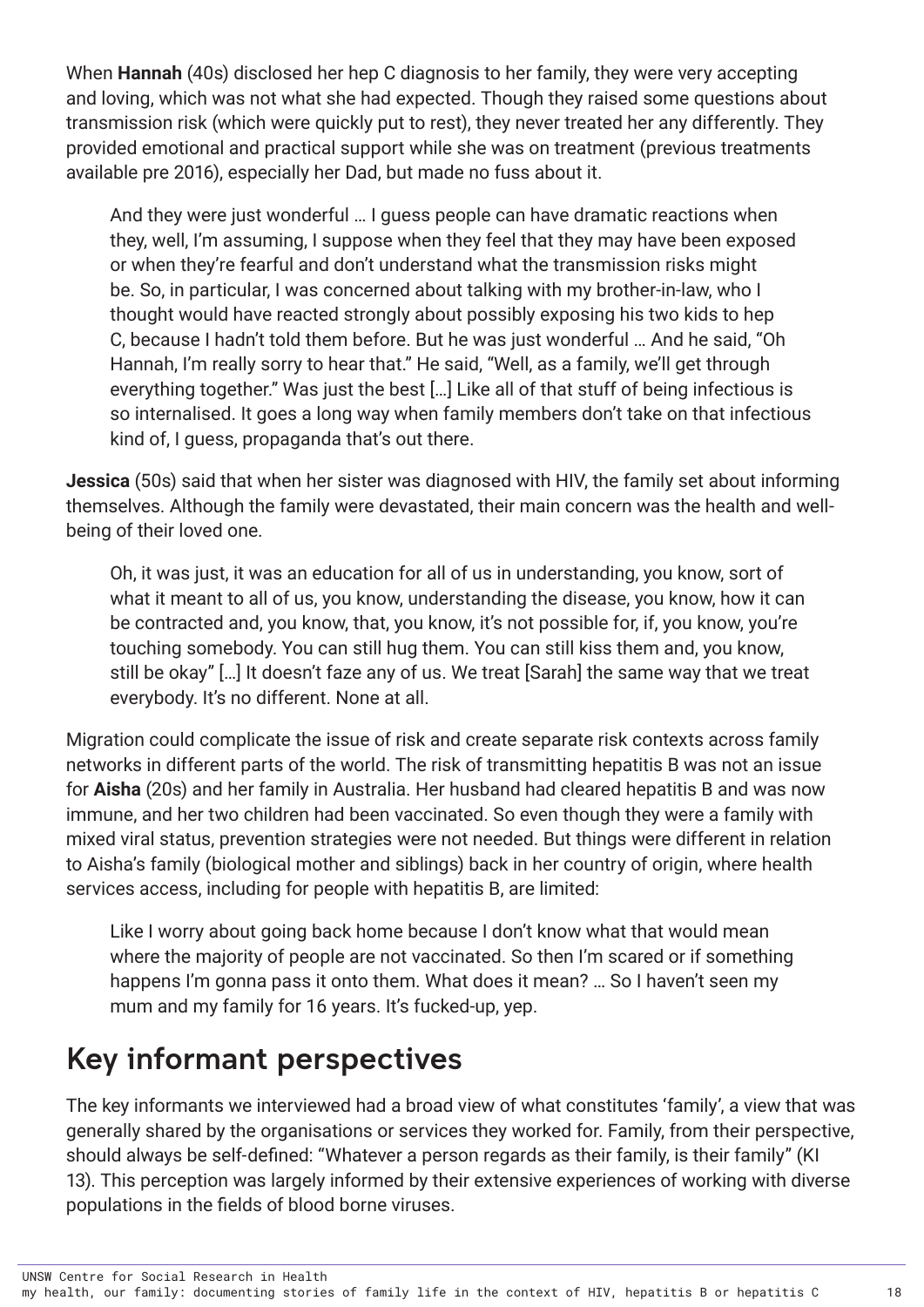<span id="page-22-0"></span>When **Hannah** (40s) disclosed her hep C diagnosis to her family, they were very accepting and loving, which was not what she had expected. Though they raised some questions about transmission risk (which were quickly put to rest), they never treated her any differently. They provided emotional and practical support while she was on treatment (previous treatments available pre 2016), especially her Dad, but made no fuss about it.

And they were just wonderful … I guess people can have dramatic reactions when they, well, I'm assuming, I suppose when they feel that they may have been exposed or when they're fearful and don't understand what the transmission risks might be. So, in particular, I was concerned about talking with my brother-in-law, who I thought would have reacted strongly about possibly exposing his two kids to hep C, because I hadn't told them before. But he was just wonderful … And he said, "Oh Hannah, I'm really sorry to hear that." He said, "Well, as a family, we'll get through everything together." Was just the best […] Like all of that stuff of being infectious is so internalised. It goes a long way when family members don't take on that infectious kind of, I guess, propaganda that's out there.

**Jessica** (50s) said that when her sister was diagnosed with HIV, the family set about informing themselves. Although the family were devastated, their main concern was the health and wellbeing of their loved one.

Oh, it was just, it was an education for all of us in understanding, you know, sort of what it meant to all of us, you know, understanding the disease, you know, how it can be contracted and, you know, that, you know, it's not possible for, if, you know, you're touching somebody. You can still hug them. You can still kiss them and, you know, still be okay" […] It doesn't faze any of us. We treat [Sarah] the same way that we treat everybody. It's no different. None at all.

Migration could complicate the issue of risk and create separate risk contexts across family networks in different parts of the world. The risk of transmitting hepatitis B was not an issue for **Aisha** (20s) and her family in Australia. Her husband had cleared hepatitis B and was now immune, and her two children had been vaccinated. So even though they were a family with mixed viral status, prevention strategies were not needed. But things were different in relation to Aisha's family (biological mother and siblings) back in her country of origin, where health services access, including for people with hepatitis B, are limited:

Like I worry about going back home because I don't know what that would mean where the majority of people are not vaccinated. So then I'm scared or if something happens I'm gonna pass it onto them. What does it mean? … So I haven't seen my mum and my family for 16 years. It's fucked-up, yep.

### Key informant perspectives

The key informants we interviewed had a broad view of what constitutes 'family', a view that was generally shared by the organisations or services they worked for. Family, from their perspective, should always be self-defined: "Whatever a person regards as their family, is their family" (KI 13). This perception was largely informed by their extensive experiences of working with diverse populations in the fields of blood borne viruses.

UNSW Centre for Social Research in Health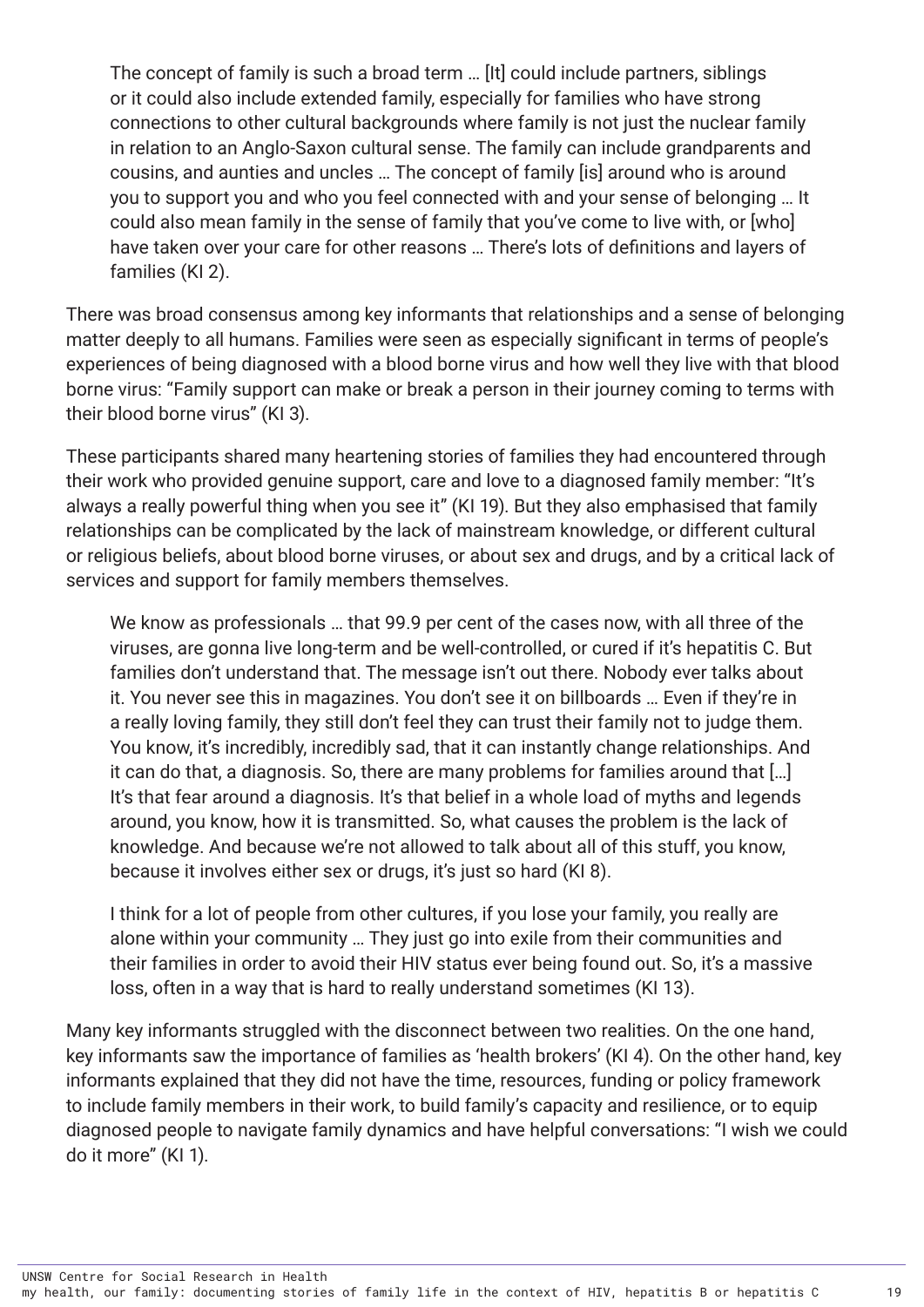The concept of family is such a broad term … [It] could include partners, siblings or it could also include extended family, especially for families who have strong connections to other cultural backgrounds where family is not just the nuclear family in relation to an Anglo-Saxon cultural sense. The family can include grandparents and cousins, and aunties and uncles … The concept of family [is] around who is around you to support you and who you feel connected with and your sense of belonging … It could also mean family in the sense of family that you've come to live with, or [who] have taken over your care for other reasons … There's lots of definitions and layers of families (KI 2).

There was broad consensus among key informants that relationships and a sense of belonging matter deeply to all humans. Families were seen as especially significant in terms of people's experiences of being diagnosed with a blood borne virus and how well they live with that blood borne virus: "Family support can make or break a person in their journey coming to terms with their blood borne virus" (KI 3).

These participants shared many heartening stories of families they had encountered through their work who provided genuine support, care and love to a diagnosed family member: "It's always a really powerful thing when you see it" (KI 19). But they also emphasised that family relationships can be complicated by the lack of mainstream knowledge, or different cultural or religious beliefs, about blood borne viruses, or about sex and drugs, and by a critical lack of services and support for family members themselves.

We know as professionals … that 99.9 per cent of the cases now, with all three of the viruses, are gonna live long-term and be well-controlled, or cured if it's hepatitis C. But families don't understand that. The message isn't out there. Nobody ever talks about it. You never see this in magazines. You don't see it on billboards … Even if they're in a really loving family, they still don't feel they can trust their family not to judge them. You know, it's incredibly, incredibly sad, that it can instantly change relationships. And it can do that, a diagnosis. So, there are many problems for families around that […] It's that fear around a diagnosis. It's that belief in a whole load of myths and legends around, you know, how it is transmitted. So, what causes the problem is the lack of knowledge. And because we're not allowed to talk about all of this stuff, you know, because it involves either sex or drugs, it's just so hard (KI 8).

I think for a lot of people from other cultures, if you lose your family, you really are alone within your community … They just go into exile from their communities and their families in order to avoid their HIV status ever being found out. So, it's a massive loss, often in a way that is hard to really understand sometimes (KI 13).

Many key informants struggled with the disconnect between two realities. On the one hand, key informants saw the importance of families as 'health brokers' (KI 4). On the other hand, key informants explained that they did not have the time, resources, funding or policy framework to include family members in their work, to build family's capacity and resilience, or to equip diagnosed people to navigate family dynamics and have helpful conversations: "I wish we could do it more" (KI 1).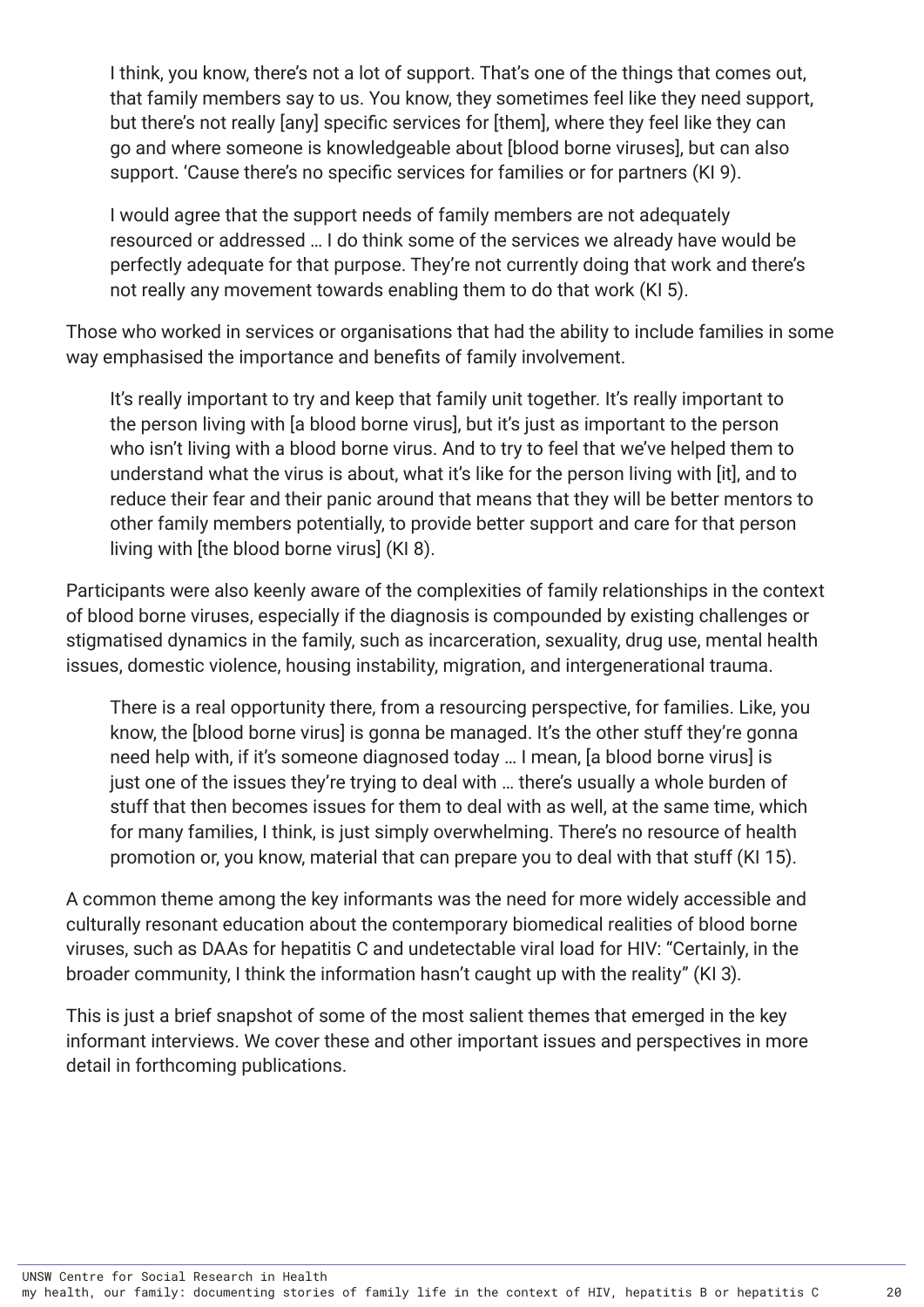I think, you know, there's not a lot of support. That's one of the things that comes out, that family members say to us. You know, they sometimes feel like they need support, but there's not really [any] specific services for [them], where they feel like they can go and where someone is knowledgeable about [blood borne viruses], but can also support. 'Cause there's no specific services for families or for partners (KI 9).

I would agree that the support needs of family members are not adequately resourced or addressed … I do think some of the services we already have would be perfectly adequate for that purpose. They're not currently doing that work and there's not really any movement towards enabling them to do that work (KI 5).

Those who worked in services or organisations that had the ability to include families in some way emphasised the importance and benefits of family involvement.

It's really important to try and keep that family unit together. It's really important to the person living with [a blood borne virus], but it's just as important to the person who isn't living with a blood borne virus. And to try to feel that we've helped them to understand what the virus is about, what it's like for the person living with [it], and to reduce their fear and their panic around that means that they will be better mentors to other family members potentially, to provide better support and care for that person living with [the blood borne virus] (KI 8).

Participants were also keenly aware of the complexities of family relationships in the context of blood borne viruses, especially if the diagnosis is compounded by existing challenges or stigmatised dynamics in the family, such as incarceration, sexuality, drug use, mental health issues, domestic violence, housing instability, migration, and intergenerational trauma.

There is a real opportunity there, from a resourcing perspective, for families. Like, you know, the [blood borne virus] is gonna be managed. It's the other stuff they're gonna need help with, if it's someone diagnosed today … I mean, [a blood borne virus] is just one of the issues they're trying to deal with … there's usually a whole burden of stuff that then becomes issues for them to deal with as well, at the same time, which for many families, I think, is just simply overwhelming. There's no resource of health promotion or, you know, material that can prepare you to deal with that stuff (KI 15).

A common theme among the key informants was the need for more widely accessible and culturally resonant education about the contemporary biomedical realities of blood borne viruses, such as DAAs for hepatitis C and undetectable viral load for HIV: "Certainly, in the broader community, I think the information hasn't caught up with the reality" (KI 3).

This is just a brief snapshot of some of the most salient themes that emerged in the key informant interviews. We cover these and other important issues and perspectives in more detail in forthcoming publications.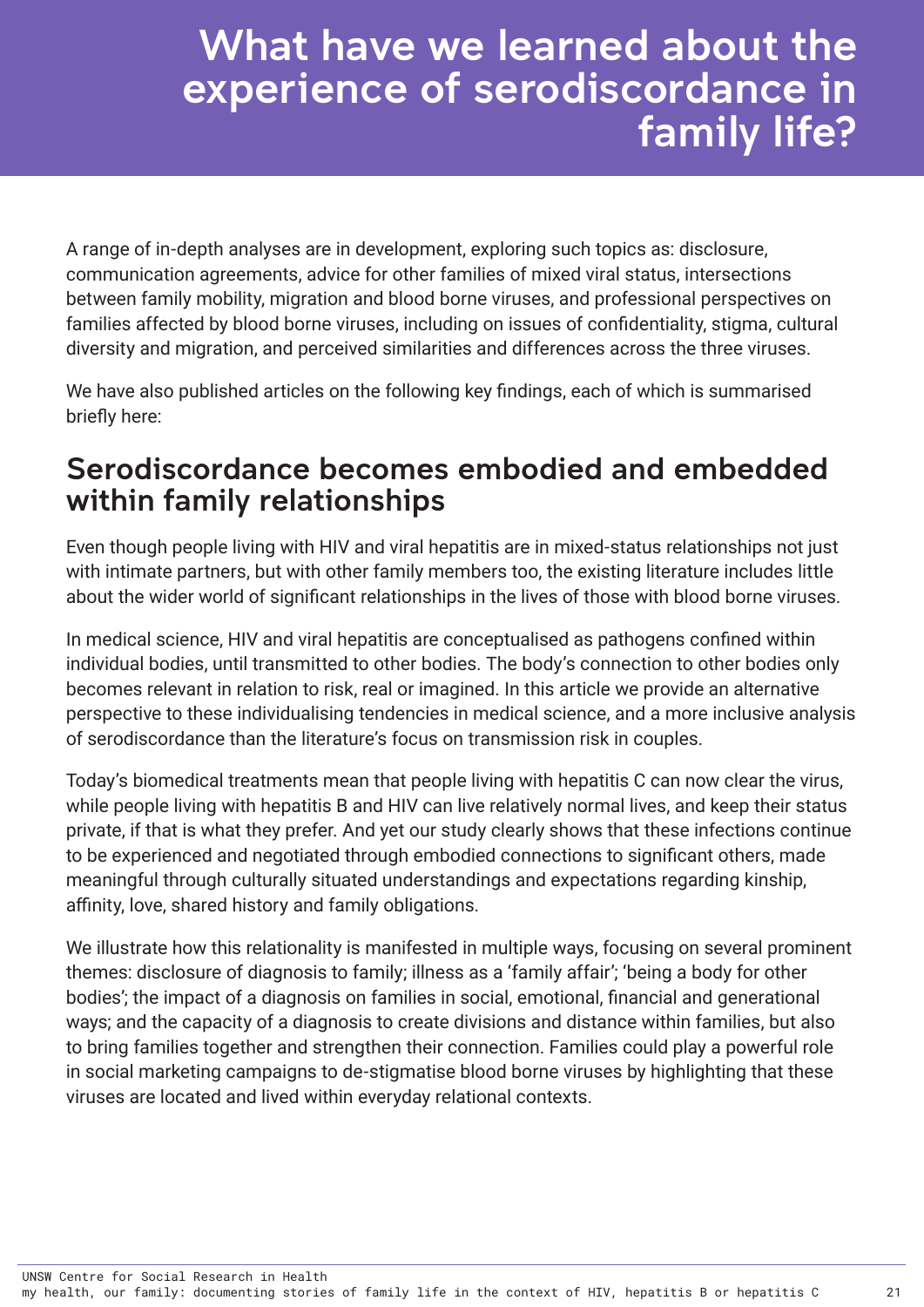## <span id="page-25-0"></span>What have we learned about the experience of serodiscordance in family life?

A range of in-depth analyses are in development, exploring such topics as: disclosure, communication agreements, advice for other families of mixed viral status, intersections between family mobility, migration and blood borne viruses, and professional perspectives on families affected by blood borne viruses, including on issues of confidentiality, stigma, cultural diversity and migration, and perceived similarities and differences across the three viruses.

We have also published articles on the following key findings, each of which is summarised briefly here:

### Serodiscordance becomes embodied and embedded within family relationships

Even though people living with HIV and viral hepatitis are in mixed-status relationships not just with intimate partners, but with other family members too, the existing literature includes little about the wider world of significant relationships in the lives of those with blood borne viruses.

In medical science, HIV and viral hepatitis are conceptualised as pathogens confined within individual bodies, until transmitted to other bodies. The body's connection to other bodies only becomes relevant in relation to risk, real or imagined. In this article we provide an alternative perspective to these individualising tendencies in medical science, and a more inclusive analysis of serodiscordance than the literature's focus on transmission risk in couples.

Today's biomedical treatments mean that people living with hepatitis C can now clear the virus, while people living with hepatitis B and HIV can live relatively normal lives, and keep their status private, if that is what they prefer. And yet our study clearly shows that these infections continue to be experienced and negotiated through embodied connections to significant others, made meaningful through culturally situated understandings and expectations regarding kinship, affinity, love, shared history and family obligations.

We illustrate how this relationality is manifested in multiple ways, focusing on several prominent themes: disclosure of diagnosis to family; illness as a 'family affair'; 'being a body for other bodies'; the impact of a diagnosis on families in social, emotional, financial and generational ways; and the capacity of a diagnosis to create divisions and distance within families, but also to bring families together and strengthen their connection. Families could play a powerful role in social marketing campaigns to de-stigmatise blood borne viruses by highlighting that these viruses are located and lived within everyday relational contexts.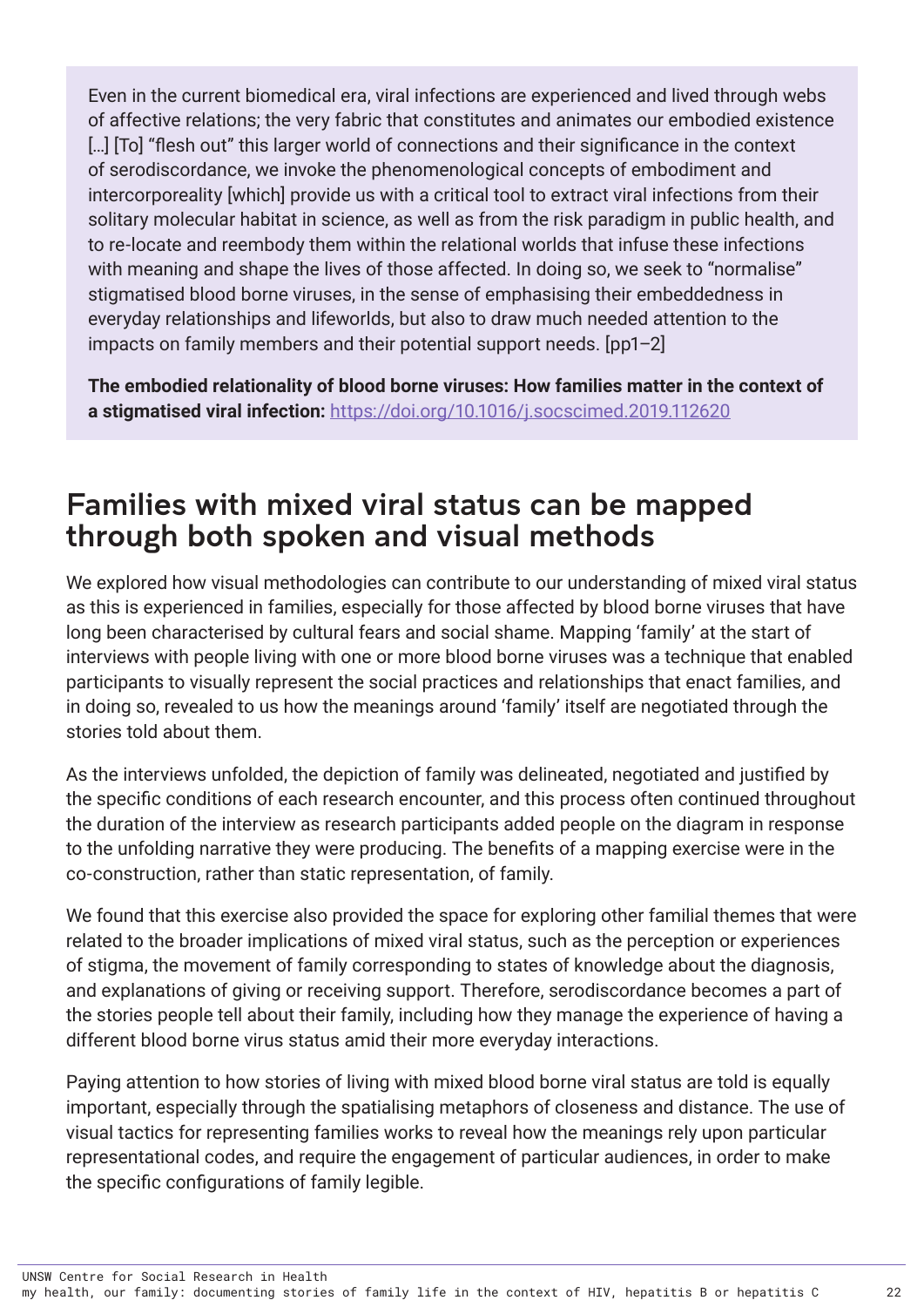<span id="page-26-0"></span>Even in the current biomedical era, viral infections are experienced and lived through webs of affective relations; the very fabric that constitutes and animates our embodied existence [...] [To] "flesh out" this larger world of connections and their significance in the context of serodiscordance, we invoke the phenomenological concepts of embodiment and intercorporeality [which] provide us with a critical tool to extract viral infections from their solitary molecular habitat in science, as well as from the risk paradigm in public health, and to re-locate and reembody them within the relational worlds that infuse these infections with meaning and shape the lives of those affected. In doing so, we seek to "normalise" stigmatised blood borne viruses, in the sense of emphasising their embeddedness in everyday relationships and lifeworlds, but also to draw much needed attention to the impacts on family members and their potential support needs. [pp1–2]

**The embodied relationality of blood borne viruses: How families matter in the context of a stigmatised viral infection:** <https://doi.org/10.1016/j.socscimed.2019.112620>

### Families with mixed viral status can be mapped through both spoken and visual methods

We explored how visual methodologies can contribute to our understanding of mixed viral status as this is experienced in families, especially for those affected by blood borne viruses that have long been characterised by cultural fears and social shame. Mapping 'family' at the start of interviews with people living with one or more blood borne viruses was a technique that enabled participants to visually represent the social practices and relationships that enact families, and in doing so, revealed to us how the meanings around 'family' itself are negotiated through the stories told about them.

As the interviews unfolded, the depiction of family was delineated, negotiated and justified by the specific conditions of each research encounter, and this process often continued throughout the duration of the interview as research participants added people on the diagram in response to the unfolding narrative they were producing. The benefits of a mapping exercise were in the co-construction, rather than static representation, of family.

We found that this exercise also provided the space for exploring other familial themes that were related to the broader implications of mixed viral status, such as the perception or experiences of stigma, the movement of family corresponding to states of knowledge about the diagnosis, and explanations of giving or receiving support. Therefore, serodiscordance becomes a part of the stories people tell about their family, including how they manage the experience of having a different blood borne virus status amid their more everyday interactions.

Paying attention to how stories of living with mixed blood borne viral status are told is equally important, especially through the spatialising metaphors of closeness and distance. The use of visual tactics for representing families works to reveal how the meanings rely upon particular representational codes, and require the engagement of particular audiences, in order to make the specific configurations of family legible.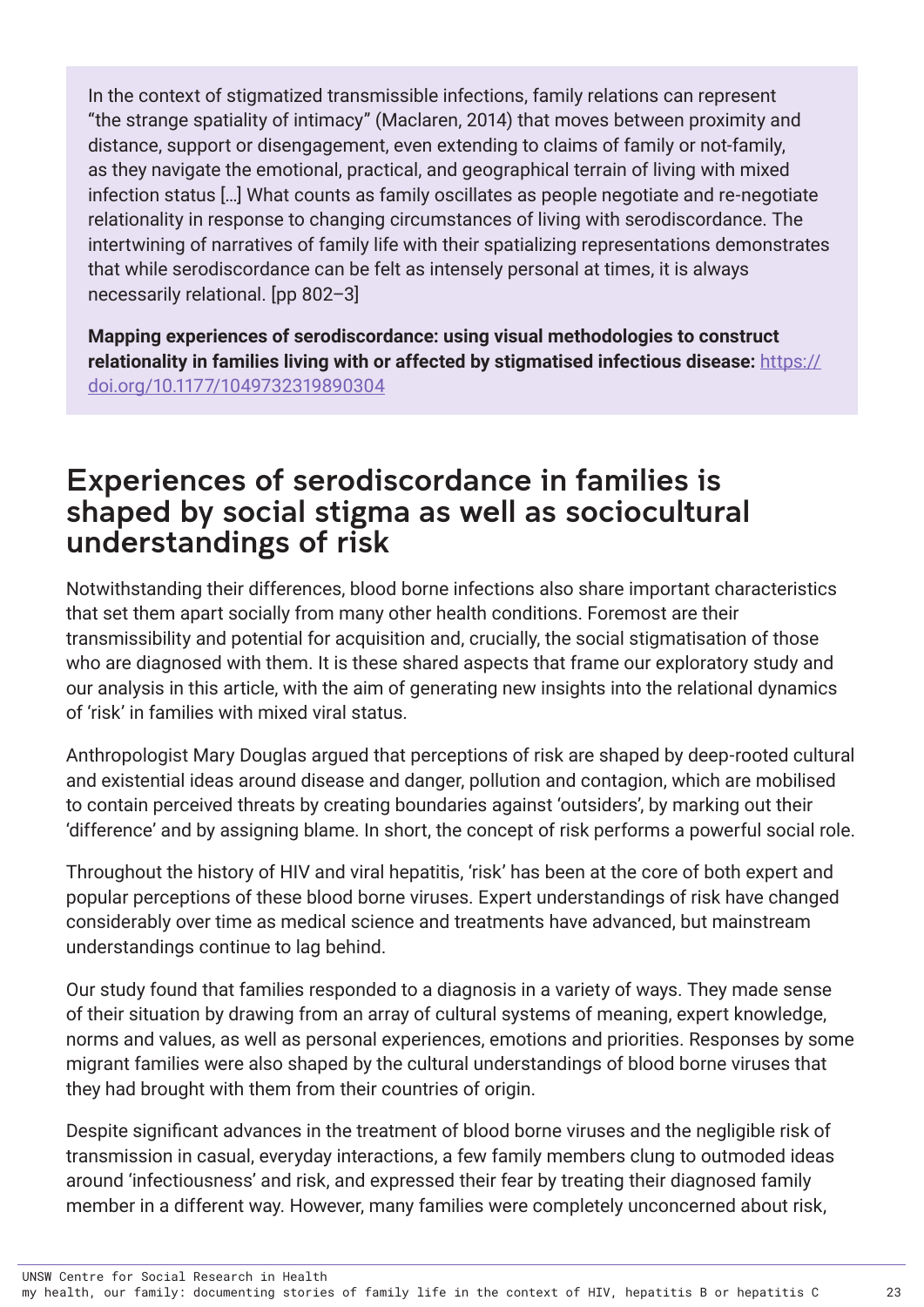<span id="page-27-0"></span>In the context of stigmatized transmissible infections, family relations can represent "the strange spatiality of intimacy" (Maclaren, 2014) that moves between proximity and distance, support or disengagement, even extending to claims of family or not-family, as they navigate the emotional, practical, and geographical terrain of living with mixed infection status […] What counts as family oscillates as people negotiate and re-negotiate relationality in response to changing circumstances of living with serodiscordance. The intertwining of narratives of family life with their spatializing representations demonstrates that while serodiscordance can be felt as intensely personal at times, it is always necessarily relational. [pp 802–3]

**Mapping experiences of serodiscordance: using visual methodologies to construct relationality in families living with or affected by stigmatised infectious disease:** [https://](https://doi.org/10.1177/1049732319890304) [doi.org/10.1177/1049732319890304](https://doi.org/10.1177/1049732319890304)

### Experiences of serodiscordance in families is shaped by social stigma as well as sociocultural understandings of risk

Notwithstanding their differences, blood borne infections also share important characteristics that set them apart socially from many other health conditions. Foremost are their transmissibility and potential for acquisition and, crucially, the social stigmatisation of those who are diagnosed with them. It is these shared aspects that frame our exploratory study and our analysis in this article, with the aim of generating new insights into the relational dynamics of 'risk' in families with mixed viral status.

Anthropologist Mary Douglas argued that perceptions of risk are shaped by deep-rooted cultural and existential ideas around disease and danger, pollution and contagion, which are mobilised to contain perceived threats by creating boundaries against 'outsiders', by marking out their 'difference' and by assigning blame. In short, the concept of risk performs a powerful social role.

Throughout the history of HIV and viral hepatitis, 'risk' has been at the core of both expert and popular perceptions of these blood borne viruses. Expert understandings of risk have changed considerably over time as medical science and treatments have advanced, but mainstream understandings continue to lag behind.

Our study found that families responded to a diagnosis in a variety of ways. They made sense of their situation by drawing from an array of cultural systems of meaning, expert knowledge, norms and values, as well as personal experiences, emotions and priorities. Responses by some migrant families were also shaped by the cultural understandings of blood borne viruses that they had brought with them from their countries of origin.

Despite significant advances in the treatment of blood borne viruses and the negligible risk of transmission in casual, everyday interactions, a few family members clung to outmoded ideas around 'infectiousness' and risk, and expressed their fear by treating their diagnosed family member in a different way. However, many families were completely unconcerned about risk,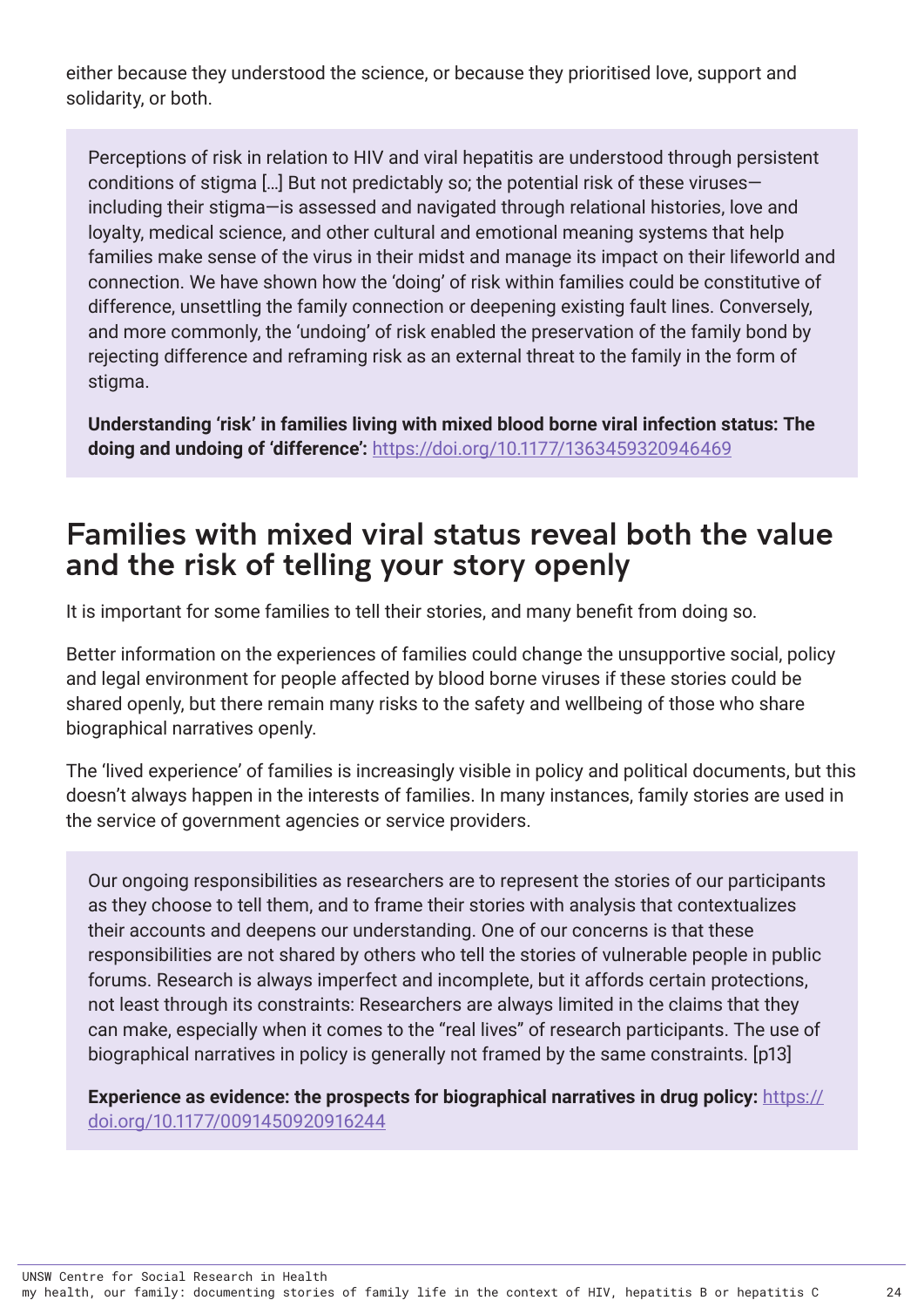<span id="page-28-0"></span>either because they understood the science, or because they prioritised love, support and solidarity, or both.

Perceptions of risk in relation to HIV and viral hepatitis are understood through persistent conditions of stigma […] But not predictably so; the potential risk of these viruses including their stigma—is assessed and navigated through relational histories, love and loyalty, medical science, and other cultural and emotional meaning systems that help families make sense of the virus in their midst and manage its impact on their lifeworld and connection. We have shown how the 'doing' of risk within families could be constitutive of difference, unsettling the family connection or deepening existing fault lines. Conversely, and more commonly, the 'undoing' of risk enabled the preservation of the family bond by rejecting difference and reframing risk as an external threat to the family in the form of stigma.

**Understanding 'risk' in families living with mixed blood borne viral infection status: The doing and undoing of 'difference':** <https://doi.org/10.1177/1363459320946469>

### Families with mixed viral status reveal both the value and the risk of telling your story openly

It is important for some families to tell their stories, and many benefit from doing so.

Better information on the experiences of families could change the unsupportive social, policy and legal environment for people affected by blood borne viruses if these stories could be shared openly, but there remain many risks to the safety and wellbeing of those who share biographical narratives openly.

The 'lived experience' of families is increasingly visible in policy and political documents, but this doesn't always happen in the interests of families. In many instances, family stories are used in the service of government agencies or service providers.

Our ongoing responsibilities as researchers are to represent the stories of our participants as they choose to tell them, and to frame their stories with analysis that contextualizes their accounts and deepens our understanding. One of our concerns is that these responsibilities are not shared by others who tell the stories of vulnerable people in public forums. Research is always imperfect and incomplete, but it affords certain protections, not least through its constraints: Researchers are always limited in the claims that they can make, especially when it comes to the "real lives" of research participants. The use of biographical narratives in policy is generally not framed by the same constraints. [p13]

**Experience as evidence: the prospects for biographical narratives in drug policy:** [https://](https://doi.org/10.1177/0091450920916244) [doi.org/10.1177/0091450920916244](https://doi.org/10.1177/0091450920916244)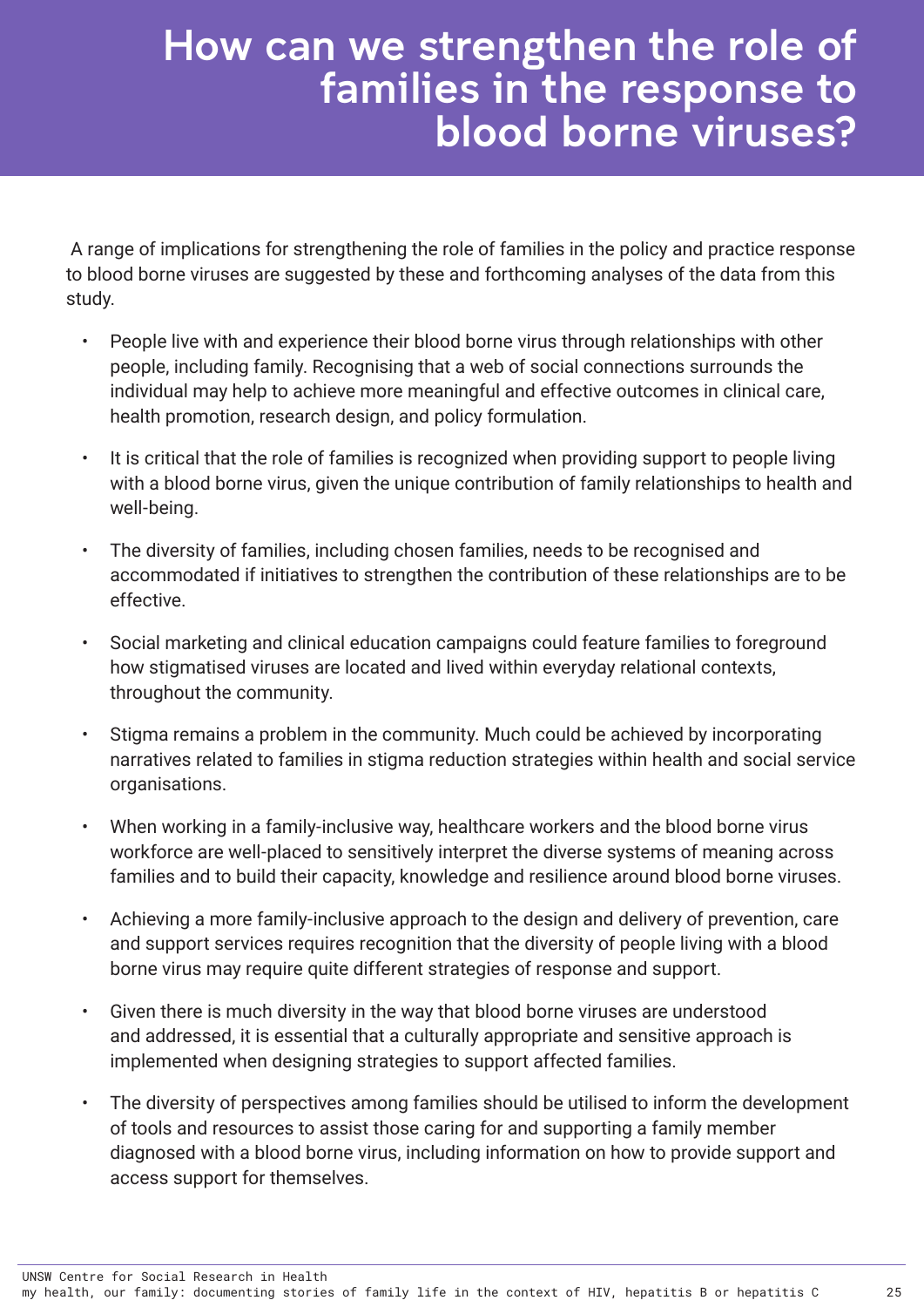### <span id="page-29-0"></span>How can we strengthen the role of families in the response to blood borne viruses?

 A range of implications for strengthening the role of families in the policy and practice response to blood borne viruses are suggested by these and forthcoming analyses of the data from this study.

- People live with and experience their blood borne virus through relationships with other people, including family. Recognising that a web of social connections surrounds the individual may help to achieve more meaningful and effective outcomes in clinical care, health promotion, research design, and policy formulation.
- It is critical that the role of families is recognized when providing support to people living with a blood borne virus, given the unique contribution of family relationships to health and well-being.
- The diversity of families, including chosen families, needs to be recognised and accommodated if initiatives to strengthen the contribution of these relationships are to be effective.
- Social marketing and clinical education campaigns could feature families to foreground how stigmatised viruses are located and lived within everyday relational contexts, throughout the community.
- Stigma remains a problem in the community. Much could be achieved by incorporating narratives related to families in stigma reduction strategies within health and social service organisations.
- When working in a family-inclusive way, healthcare workers and the blood borne virus workforce are well-placed to sensitively interpret the diverse systems of meaning across families and to build their capacity, knowledge and resilience around blood borne viruses.
- Achieving a more family-inclusive approach to the design and delivery of prevention, care and support services requires recognition that the diversity of people living with a blood borne virus may require quite different strategies of response and support.
- Given there is much diversity in the way that blood borne viruses are understood and addressed, it is essential that a culturally appropriate and sensitive approach is implemented when designing strategies to support affected families.
- The diversity of perspectives among families should be utilised to inform the development of tools and resources to assist those caring for and supporting a family member diagnosed with a blood borne virus, including information on how to provide support and access support for themselves.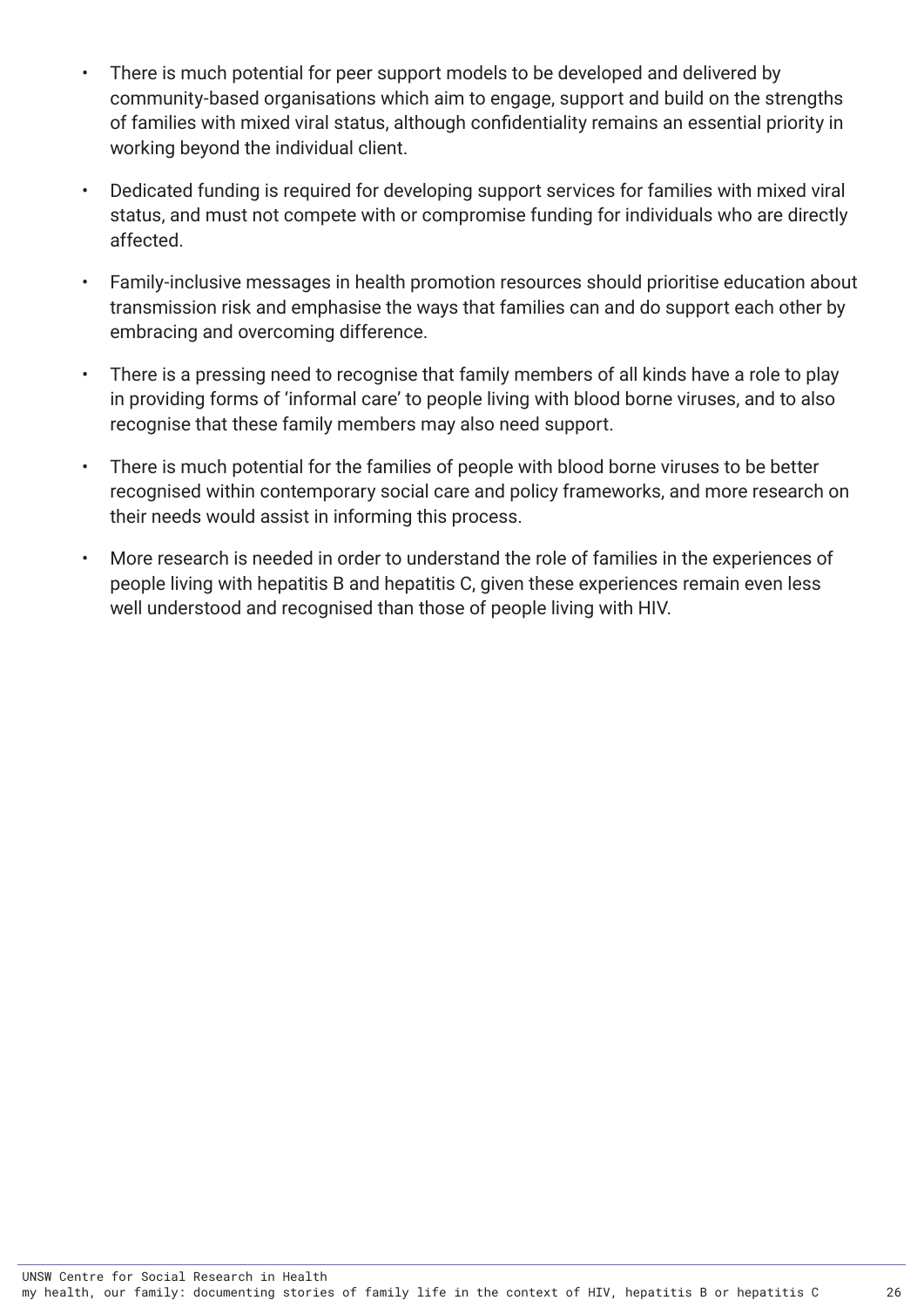- There is much potential for peer support models to be developed and delivered by community-based organisations which aim to engage, support and build on the strengths of families with mixed viral status, although confidentiality remains an essential priority in working beyond the individual client.
- Dedicated funding is required for developing support services for families with mixed viral status, and must not compete with or compromise funding for individuals who are directly affected.
- Family-inclusive messages in health promotion resources should prioritise education about transmission risk and emphasise the ways that families can and do support each other by embracing and overcoming difference.
- There is a pressing need to recognise that family members of all kinds have a role to play in providing forms of 'informal care' to people living with blood borne viruses, and to also recognise that these family members may also need support.
- There is much potential for the families of people with blood borne viruses to be better recognised within contemporary social care and policy frameworks, and more research on their needs would assist in informing this process.
- More research is needed in order to understand the role of families in the experiences of people living with hepatitis B and hepatitis C, given these experiences remain even less well understood and recognised than those of people living with HIV.